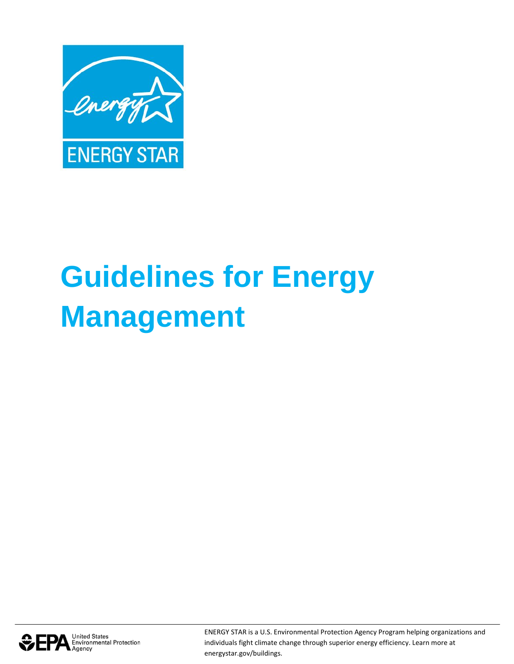

# **Guidelines for Energy Management**



ENERGY STAR is a U.S. Environmental Protection Agency Program helping organizations and individuals fight climate change through superior energy efficiency. Learn more at energystar.gov/buildings.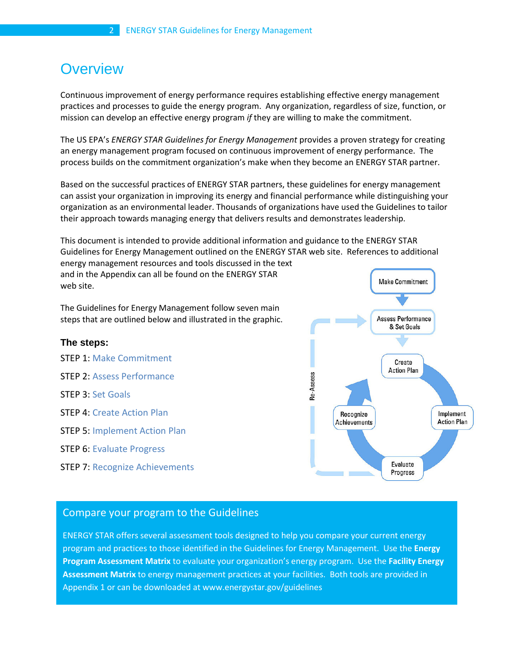# **Overview**

Continuous improvement of energy performance requires establishing effective energy management practices and processes to guide the energy program. Any organization, regardless of size, function, or mission can develop an effective energy program *if* they are willing to make the commitment.

The US EPA's *ENERGY STAR Guidelines for Energy Management* provides a proven strategy for creating an energy management program focused on continuous improvement of energy performance. The process builds on the commitment organization's make when they become an ENERGY STAR partner.

Based on the successful practices of ENERGY STAR partners, these guidelines for energy management can assist your organization in improving its energy and financial performance while distinguishing your organization as an environmental leader. Thousands of organizations have used the Guidelines to tailor their approach towards managing energy that delivers results and demonstrates leadership.

This document is intended to provide additional information and guidance to the ENERGY STAR Guidelines for Energy Management outlined on the ENERGY STAR web site. References to additional energy management resources and tools discussed in the text

and in the Appendix can all be found on the ENERGY STAR web site.

The Guidelines for Energy Management follow seven main steps that are outlined below and illustrated in the graphic.

# **The steps:**

STEP 1: Make Commitment STEP 2: Assess Performance STEP 3: Set Goals STEP 4: Create Action Plan STEP 5: Implement Action Plan STEP 6: Evaluate Progress STEP 7: Recognize Achievements



# Compare your program to the Guidelines

ENERGY STAR offers several assessment tools designed to help you compare your current energy program and practices to those identified in the Guidelines for Energy Management. Use the **Energy Program Assessment Matrix** to evaluate your organization's energy program. Use the **Facility Energy Assessment Matrix** to energy management practices at your facilities. Both tools are provided in Appendix 1 or can be downloaded at www.energystar.gov/guidelines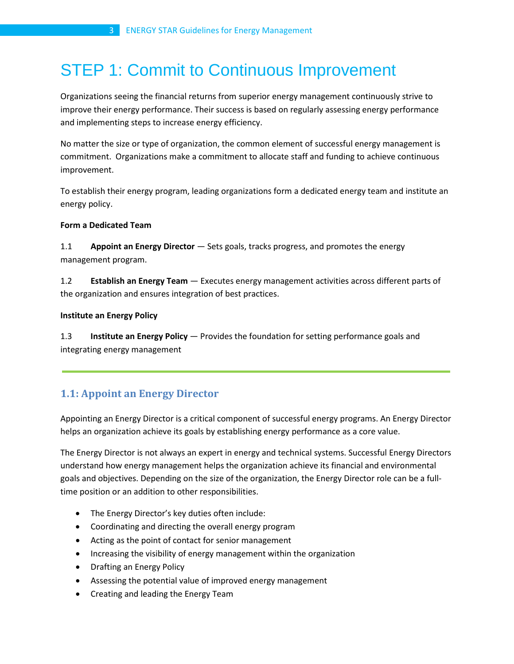# STEP 1: Commit to Continuous Improvement

Organizations seeing the financial returns from superior energy management continuously strive to improve their energy performance. Their success is based on regularly assessing energy performance and implementing steps to increase energy efficiency.

No matter the size or type of organization, the common element of successful energy management is commitment. Organizations make a commitment to allocate staff and funding to achieve continuous improvement.

To establish their energy program, leading organizations form a dedicated energy team and institute an energy policy.

# **Form a Dedicated Team**

1.1 **Appoint an Energy Director** — Sets goals, tracks progress, and promotes the energy management program.

1.2 **Establish an Energy Team** — Executes energy management activities across different parts of the organization and ensures integration of best practices.

#### **Institute an Energy Policy**

1.3 **Institute an Energy Policy** — Provides the foundation for setting performance goals and integrating energy management

# **1.1: Appoint an Energy Director**

Appointing an Energy Director is a critical component of successful energy programs. An Energy Director helps an organization achieve its goals by establishing energy performance as a core value.

The Energy Director is not always an expert in energy and technical systems. Successful Energy Directors understand how energy management helps the organization achieve its financial and environmental goals and objectives. Depending on the size of the organization, the Energy Director role can be a fulltime position or an addition to other responsibilities.

- The Energy Director's key duties often include:
- Coordinating and directing the overall energy program
- Acting as the point of contact for senior management
- Increasing the visibility of energy management within the organization
- Drafting an Energy Policy
- Assessing the potential value of improved energy management
- Creating and leading the Energy Team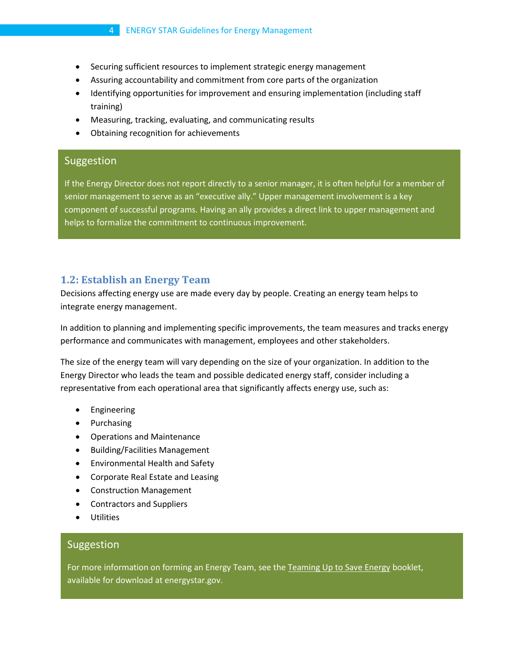# 4 ENERGY STAR Guidelines for Energy Management

- Securing sufficient resources to implement strategic energy management
- Assuring accountability and commitment from core parts of the organization
- Identifying opportunities for improvement and ensuring implementation (including staff training)
- Measuring, tracking, evaluating, and communicating results
- Obtaining recognition for achievements

# **Suggestion**

If the Energy Director does not report directly to a senior manager, it is often helpful for a member of senior management to serve as an "executive ally." Upper management involvement is a key component of successful programs. Having an ally provides a direct link to upper management and helps to formalize the commitment to continuous improvement.

# **1.2: Establish an Energy Team**

Decisions affecting energy use are made every day by people. Creating an energy team helps to integrate energy management.

In addition to planning and implementing specific improvements, the team measures and tracks energy performance and communicates with management, employees and other stakeholders.

The size of the energy team will vary depending on the size of your organization. In addition to the Energy Director who leads the team and possible dedicated energy staff, consider including a representative from each operational area that significantly affects energy use, such as:

- Engineering
- Purchasing
- Operations and Maintenance
- Building/Facilities Management
- Environmental Health and Safety
- Corporate Real Estate and Leasing
- Construction Management
- Contractors and Suppliers
- Utilities

#### Suggestion

For more information on forming an Energy Team, see the Teaming Up to Save Energy booklet, available for download at energystar.gov.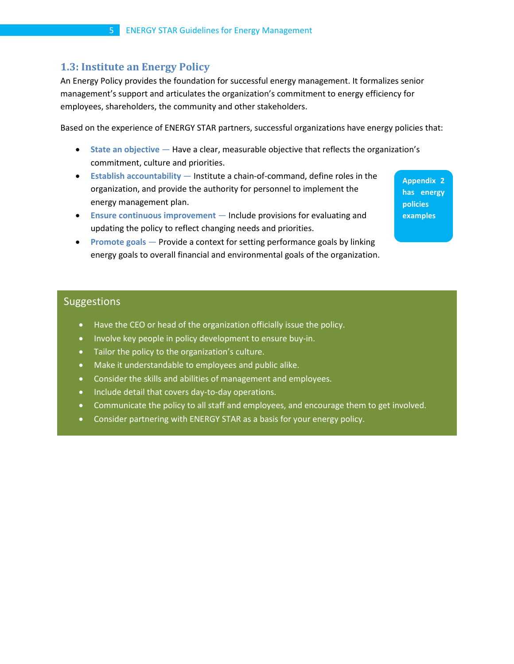# **1.3: Institute an Energy Policy**

An Energy Policy provides the foundation for successful energy management. It formalizes senior management's support and articulates the organization's commitment to energy efficiency for employees, shareholders, the community and other stakeholders.

Based on the experience of ENERGY STAR partners, successful organizations have energy policies that:

- **State an objective** Have a clear, measurable objective that reflects the organization's commitment, culture and priorities.
- **Establish accountability** Institute a chain-of-command, define roles in the organization, and provide the authority for personnel to implement the energy management plan.
- **Ensure continuous improvement** Include provisions for evaluating and updating the policy to reflect changing needs and priorities.
- **Promote goals** Provide a context for setting performance goals by linking energy goals to overall financial and environmental goals of the organization.

**Appendix 2 has energy policies examples**

# Suggestions

- Have the CEO or head of the organization officially issue the policy.
- Involve key people in policy development to ensure buy-in.
- Tailor the policy to the organization's culture.
- Make it understandable to employees and public alike.
- Consider the skills and abilities of management and employees.
- Include detail that covers day-to-day operations.
- Communicate the policy to all staff and employees, and encourage them to get involved.
- Consider partnering with ENERGY STAR as a basis for your energy policy.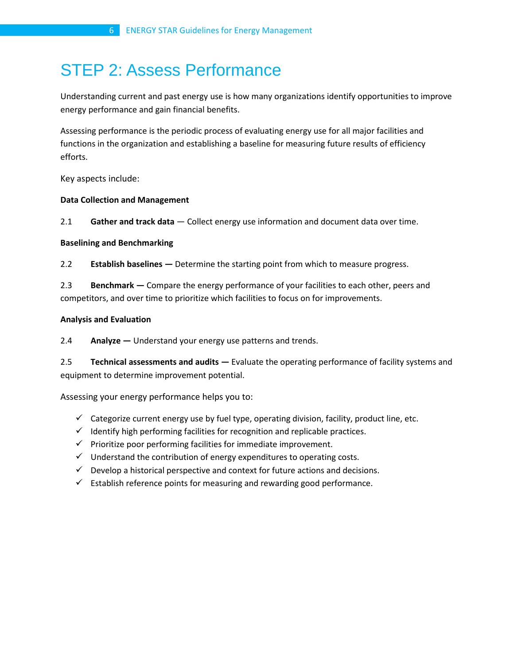# STEP 2: Assess Performance

Understanding current and past energy use is how many organizations identify opportunities to improve energy performance and gain financial benefits.

Assessing performance is the periodic process of evaluating energy use for all major facilities and functions in the organization and establishing a baseline for measuring future results of efficiency efforts.

Key aspects include:

#### **Data Collection and Management**

2.1 **Gather and track data** — Collect energy use information and document data over time.

#### **Baselining and Benchmarking**

2.2 **Establish baselines —** Determine the starting point from which to measure progress.

2.3 **Benchmark —** Compare the energy performance of your facilities to each other, peers and competitors, and over time to prioritize which facilities to focus on for improvements.

#### **Analysis and Evaluation**

2.4 **Analyze —** Understand your energy use patterns and trends.

2.5 **Technical assessments and audits —** Evaluate the operating performance of facility systems and equipment to determine improvement potential.

Assessing your energy performance helps you to:

- $\checkmark$  Categorize current energy use by fuel type, operating division, facility, product line, etc.
- $\checkmark$  Identify high performing facilities for recognition and replicable practices.
- $\checkmark$  Prioritize poor performing facilities for immediate improvement.
- $\checkmark$  Understand the contribution of energy expenditures to operating costs.
- $\checkmark$  Develop a historical perspective and context for future actions and decisions.
- $\checkmark$  Establish reference points for measuring and rewarding good performance.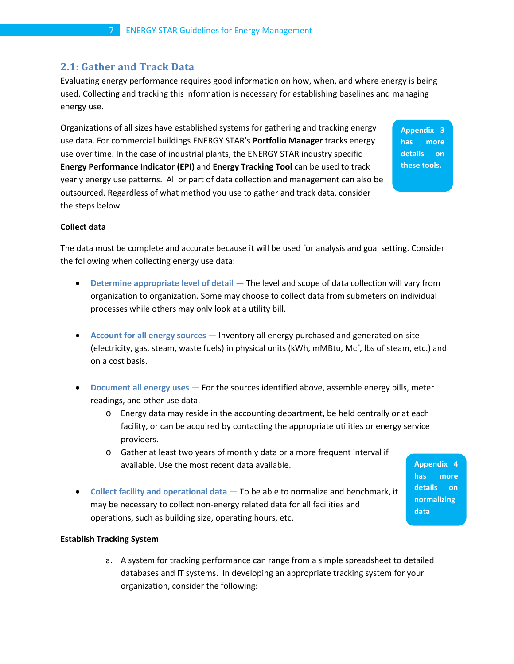# **2.1: Gather and Track Data**

Evaluating energy performance requires good information on how, when, and where energy is being used. Collecting and tracking this information is necessary for establishing baselines and managing energy use.

Organizations of all sizes have established systems for gathering and tracking energy use data. For commercial buildings ENERGY STAR's **Portfolio Manager** tracks energy use over time. In the case of industrial plants, the ENERGY STAR industry specific **Energy Performance Indicator (EPI)** and **Energy Tracking Tool** can be used to track yearly energy use patterns. All or part of data collection and management can also be outsourced. Regardless of what method you use to gather and track data, consider the steps below.

**Appendix 3 has more details on these tools.**

#### **Collect data**

The data must be complete and accurate because it will be used for analysis and goal setting. Consider the following when collecting energy use data:

- **Determine appropriate level of detail** The level and scope of data collection will vary from organization to organization. Some may choose to collect data from submeters on individual processes while others may only look at a utility bill.
- **Account for all energy sources** Inventory all energy purchased and generated on-site (electricity, gas, steam, waste fuels) in physical units (kWh, mMBtu, Mcf, lbs of steam, etc.) and on a cost basis.
- **Document all energy uses** For the sources identified above, assemble energy bills, meter readings, and other use data.
	- $\circ$  Energy data may reside in the accounting department, be held centrally or at each facility, or can be acquired by contacting the appropriate utilities or energy service providers.
	- o Gather at least two years of monthly data or a more frequent interval if available. Use the most recent data available.
		- **has more details on normalizing data**

**Appendix 4** 

• **Collect facility and operational data** — To be able to normalize and benchmark, it may be necessary to collect non-energy related data for all facilities and operations, such as building size, operating hours, etc.

#### **Establish Tracking System**

a. A system for tracking performance can range from a simple spreadsheet to detailed databases and IT systems. In developing an appropriate tracking system for your organization, consider the following: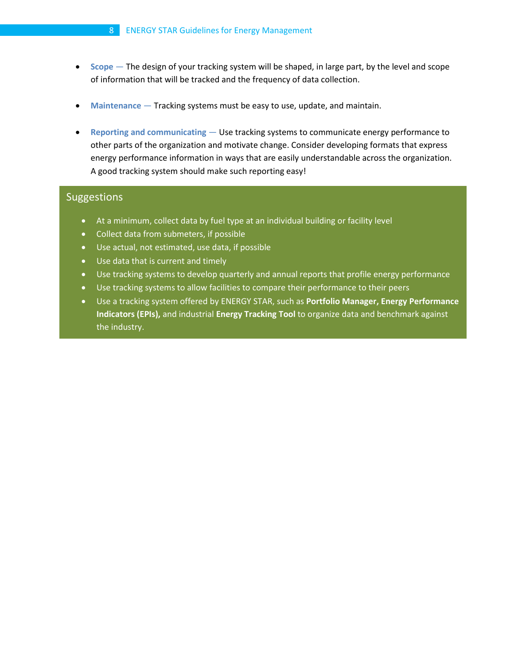- **Scope** The design of your tracking system will be shaped, in large part, by the level and scope of information that will be tracked and the frequency of data collection.
- **Maintenance** Tracking systems must be easy to use, update, and maintain.
- **Reporting and communicating** Use tracking systems to communicate energy performance to other parts of the organization and motivate change. Consider developing formats that express energy performance information in ways that are easily understandable across the organization. A good tracking system should make such reporting easy!

# Suggestions

- At a minimum, collect data by fuel type at an individual building or facility level
- Collect data from submeters, if possible
- Use actual, not estimated, use data, if possible
- Use data that is current and timely
- Use tracking systems to develop quarterly and annual reports that profile energy performance
- Use tracking systems to allow facilities to compare their performance to their peers
- Use a tracking system offered by ENERGY STAR, such as **Portfolio Manager, Energy Performance Indicators (EPIs),** and industrial **Energy Tracking Tool** to organize data and benchmark against the industry.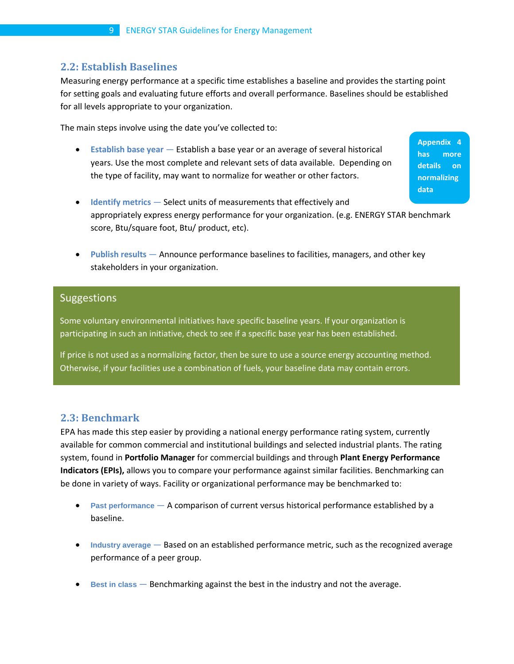# **2.2: Establish Baselines**

Measuring energy performance at a specific time establishes a baseline and provides the starting point for setting goals and evaluating future efforts and overall performance. Baselines should be established for all levels appropriate to your organization.

The main steps involve using the date you've collected to:

• **Establish base year** — Establish a base year or an average of several historical years. Use the most complete and relevant sets of data available. Depending on the type of facility, may want to normalize for weather or other factors.

**Appendix 4 has more details on normalizing data**

- **Identify metrics** Select units of measurements that effectively and appropriately express energy performance for your organization. (e.g. ENERGY STAR benchmark score, Btu/square foot, Btu/ product, etc).
- **Publish results** Announce performance baselines to facilities, managers, and other key stakeholders in your organization.

#### Suggestions

Some voluntary environmental initiatives have specific baseline years. If your organization is participating in such an initiative, check to see if a specific base year has been established.

If price is not used as a normalizing factor, then be sure to use a source energy accounting method. Otherwise, if your facilities use a combination of fuels, your baseline data may contain errors.

# **2.3: Benchmark**

EPA has made this step easier by providing a national energy performance rating system, currently available for common commercial and institutional buildings and selected industrial plants. The rating system, found in **Portfolio Manager** for commercial buildings and through **Plant Energy Performance Indicators (EPIs),** allows you to compare your performance against similar facilities. Benchmarking can be done in variety of ways. Facility or organizational performance may be benchmarked to:

- **Past performance** A comparison of current versus historical performance established by a baseline.
- **Industry average** Based on an established performance metric, such as the recognized average performance of a peer group.
- **Best in class** Benchmarking against the best in the industry and not the average.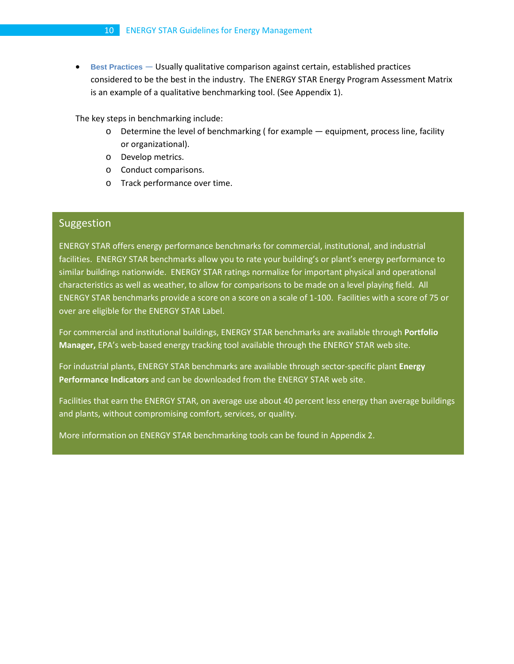• **Best Practices** — Usually qualitative comparison against certain, established practices considered to be the best in the industry. The ENERGY STAR Energy Program Assessment Matrix is an example of a qualitative benchmarking tool. (See Appendix 1).

The key steps in benchmarking include:

- o Determine the level of benchmarking ( for example equipment, process line, facility or organizational).
- o Develop metrics.
- o Conduct comparisons.
- o Track performance over time.

# Suggestion

ENERGY STAR offers energy performance benchmarks for commercial, institutional, and industrial facilities. ENERGY STAR benchmarks allow you to rate your building's or plant's energy performance to similar buildings nationwide. ENERGY STAR ratings normalize for important physical and operational characteristics as well as weather, to allow for comparisons to be made on a level playing field. All ENERGY STAR benchmarks provide a score on a score on a scale of 1-100. Facilities with a score of 75 or over are eligible for the ENERGY STAR Label.

For commercial and institutional buildings, ENERGY STAR benchmarks are available through **Portfolio Manager,** EPA's web-based energy tracking tool available through the ENERGY STAR web site.

For industrial plants, ENERGY STAR benchmarks are available through sector-specific plant **Energy Performance Indicators** and can be downloaded from the ENERGY STAR web site.

Facilities that earn the ENERGY STAR, on average use about 40 percent less energy than average buildings and plants, without compromising comfort, services, or quality.

More information on ENERGY STAR benchmarking tools can be found in Appendix 2.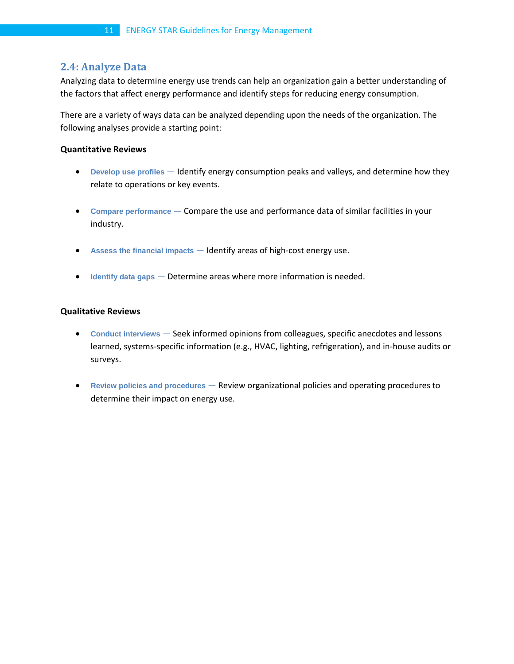# **2.4: Analyze Data**

Analyzing data to determine energy use trends can help an organization gain a better understanding of the factors that affect energy performance and identify steps for reducing energy consumption.

There are a variety of ways data can be analyzed depending upon the needs of the organization. The following analyses provide a starting point:

#### **Quantitative Reviews**

- **Develop use profiles** Identify energy consumption peaks and valleys, and determine how they relate to operations or key events.
- **Compare performance** Compare the use and performance data of similar facilities in your industry.
- **Assess the financial impacts** Identify areas of high-cost energy use.
- **Identify data gaps** Determine areas where more information is needed.

#### **Qualitative Reviews**

- **Conduct interviews** Seek informed opinions from colleagues, specific anecdotes and lessons learned, systems-specific information (e.g., HVAC, lighting, refrigeration), and in-house audits or surveys.
- **Review policies and procedures** Review organizational policies and operating procedures to determine their impact on energy use.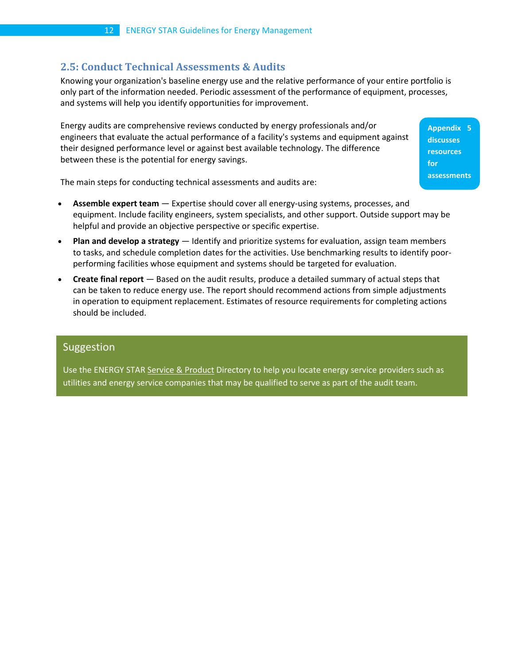# **2.5: Conduct Technical Assessments & Audits**

Knowing your organization's baseline energy use and the relative performance of your entire portfolio is only part of the information needed. Periodic assessment of the performance of equipment, processes, and systems will help you identify opportunities for improvement.

Energy audits are comprehensive reviews conducted by energy professionals and/or engineers that evaluate the actual performance of a facility's systems and equipment against their designed performance level or against best available technology. The difference between these is the potential for energy savings.

**Appendix 5 discusses resources for assessments**

The main steps for conducting technical assessments and audits are:

- **Assemble expert team** Expertise should cover all energy-using systems, processes, and equipment. Include facility engineers, system specialists, and other support. Outside support may be helpful and provide an objective perspective or specific expertise.
- **Plan and develop a strategy** Identify and prioritize systems for evaluation, assign team members to tasks, and schedule completion dates for the activities. Use benchmarking results to identify poorperforming facilities whose equipment and systems should be targeted for evaluation.
- **Create final report** Based on the audit results, produce a detailed summary of actual steps that can be taken to reduce energy use. The report should recommend actions from simple adjustments in operation to equipment replacement. Estimates of resource requirements for completing actions should be included.

# Suggestion

Use the ENERGY STA[R Service & Product](http://www.energystar.gov/index.cfm?c=expert_help.find_exp_help) Directory to help you locate energy service providers such as utilities and energy service companies that may be qualified to serve as part of the audit team.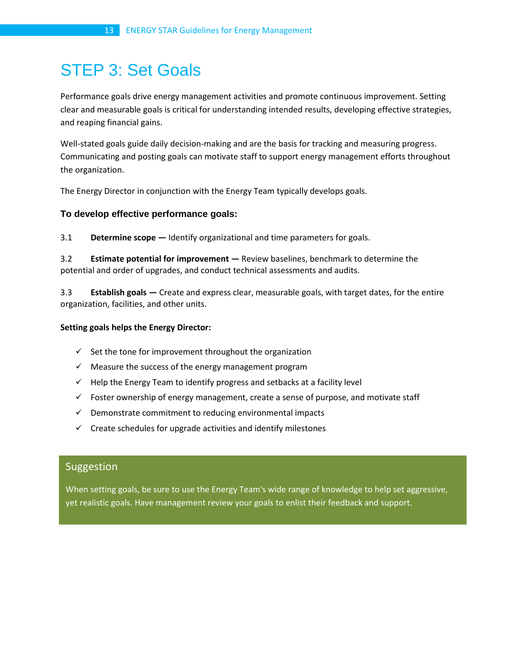# STEP 3: Set Goals

Performance goals drive energy management activities and promote continuous improvement. Setting clear and measurable goals is critical for understanding intended results, developing effective strategies, and reaping financial gains.

Well-stated goals guide daily decision-making and are the basis for tracking and measuring progress. Communicating and posting goals can motivate staff to support energy management efforts throughout the organization.

The Energy Director in conjunction with the Energy Team typically develops goals.

# **To develop effective performance goals:**

3.1 **Determine scope —** Identify organizational and time parameters for goals.

3.2 **Estimate potential for improvement —** Review baselines, benchmark to determine the potential and order of upgrades, and conduct technical assessments and audits.

3.3 **Establish goals —** Create and express clear, measurable goals, with target dates, for the entire organization, facilities, and other units.

#### **Setting goals helps the Energy Director:**

- $\checkmark$  Set the tone for improvement throughout the organization
- $\checkmark$  Measure the success of the energy management program
- $\checkmark$  Help the Energy Team to identify progress and setbacks at a facility level
- $\checkmark$  Foster ownership of energy management, create a sense of purpose, and motivate staff
- $\checkmark$  Demonstrate commitment to reducing environmental impacts
- $\checkmark$  Create schedules for upgrade activities and identify milestones

# Suggestion

When setting goals, be sure to use the Energy Team's wide range of knowledge to help set aggressive, yet realistic goals. Have management review your goals to enlist their feedback and support.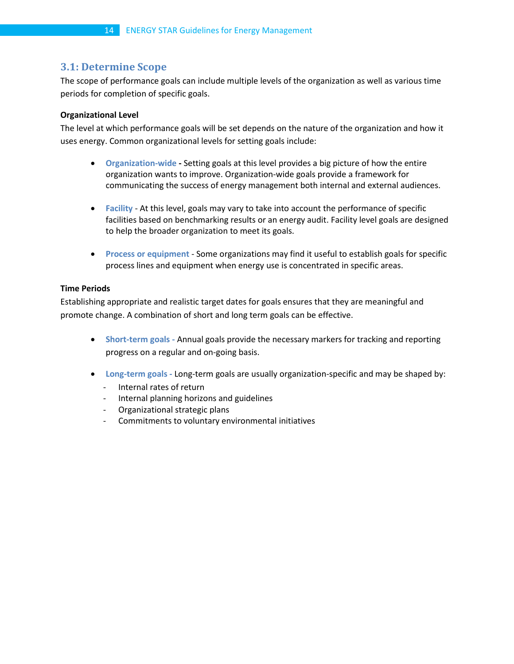# **3.1: Determine Scope**

The scope of performance goals can include multiple levels of the organization as well as various time periods for completion of specific goals.

### **Organizational Level**

The level at which performance goals will be set depends on the nature of the organization and how it uses energy. Common organizational levels for setting goals include:

- **Organization-wide -** Setting goals at this level provides a big picture of how the entire organization wants to improve. Organization-wide goals provide a framework for communicating the success of energy management both internal and external audiences.
- **Facility** At this level, goals may vary to take into account the performance of specific facilities based on benchmarking results or an energy audit. Facility level goals are designed to help the broader organization to meet its goals.
- **Process or equipment** Some organizations may find it useful to establish goals for specific process lines and equipment when energy use is concentrated in specific areas.

#### **Time Periods**

Establishing appropriate and realistic target dates for goals ensures that they are meaningful and promote change. A combination of short and long term goals can be effective.

- **Short-term goals -** Annual goals provide the necessary markers for tracking and reporting progress on a regular and on-going basis.
- **Long-term goals -** Long-term goals are usually organization-specific and may be shaped by:
	- Internal rates of return
	- Internal planning horizons and guidelines
	- Organizational strategic plans
	- Commitments to voluntary environmental initiatives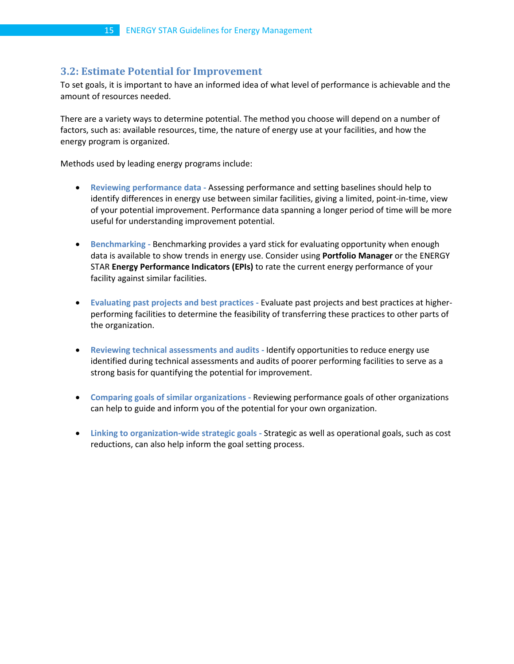# **3.2: Estimate Potential for Improvement**

To set goals, it is important to have an informed idea of what level of performance is achievable and the amount of resources needed.

There are a variety ways to determine potential. The method you choose will depend on a number of factors, such as: available resources, time, the nature of energy use at your facilities, and how the energy program is organized.

Methods used by leading energy programs include:

- **Reviewing performance data -** Assessing performance and setting baselines should help to identify differences in energy use between similar facilities, giving a limited, point-in-time, view of your potential improvement. Performance data spanning a longer period of time will be more useful for understanding improvement potential.
- **Benchmarking -** Benchmarking provides a yard stick for evaluating opportunity when enough data is available to show trends in energy use. Consider using **Portfolio Manager** or the ENERGY STAR **Energy Performance Indicators (EPIs)** to rate the current energy performance of your facility against similar facilities.
- **Evaluating past projects and best practices -** Evaluate past projects and best practices at higherperforming facilities to determine the feasibility of transferring these practices to other parts of the organization.
- **Reviewing technical assessments and audits -** Identify opportunities to reduce energy use identified during technical assessments and audits of poorer performing facilities to serve as a strong basis for quantifying the potential for improvement.
- **Comparing goals of similar organizations -** Reviewing performance goals of other organizations can help to guide and inform you of the potential for your own organization.
- **Linking to organization-wide strategic goals -** Strategic as well as operational goals, such as cost reductions, can also help inform the goal setting process.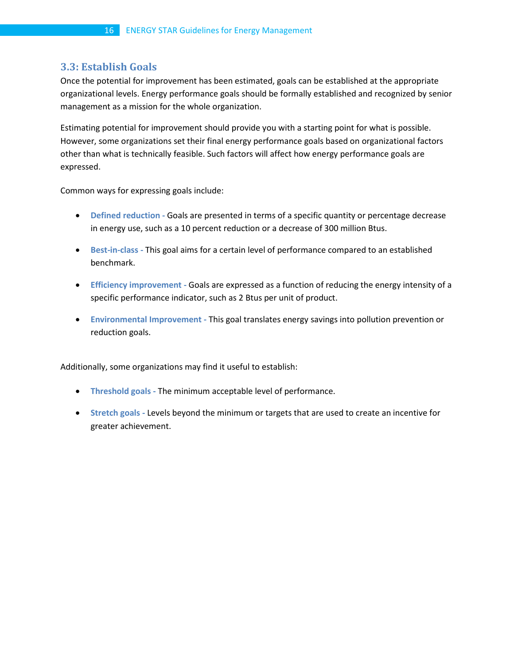# **3.3: Establish Goals**

Once the potential for improvement has been estimated, goals can be established at the appropriate organizational levels. Energy performance goals should be formally established and recognized by senior management as a mission for the whole organization.

Estimating potential for improvement should provide you with a starting point for what is possible. However, some organizations set their final energy performance goals based on organizational factors other than what is technically feasible. Such factors will affect how energy performance goals are expressed.

Common ways for expressing goals include:

- **Defined reduction -** Goals are presented in terms of a specific quantity or percentage decrease in energy use, such as a 10 percent reduction or a decrease of 300 million Btus.
- **Best-in-class -** This goal aims for a certain level of performance compared to an established benchmark.
- **Efficiency improvement -** Goals are expressed as a function of reducing the energy intensity of a specific performance indicator, such as 2 Btus per unit of product.
- **Environmental Improvement -** This goal translates energy savings into pollution prevention or reduction goals.

Additionally, some organizations may find it useful to establish:

- **Threshold goals -** The minimum acceptable level of performance.
- **Stretch goals -** Levels beyond the minimum or targets that are used to create an incentive for greater achievement.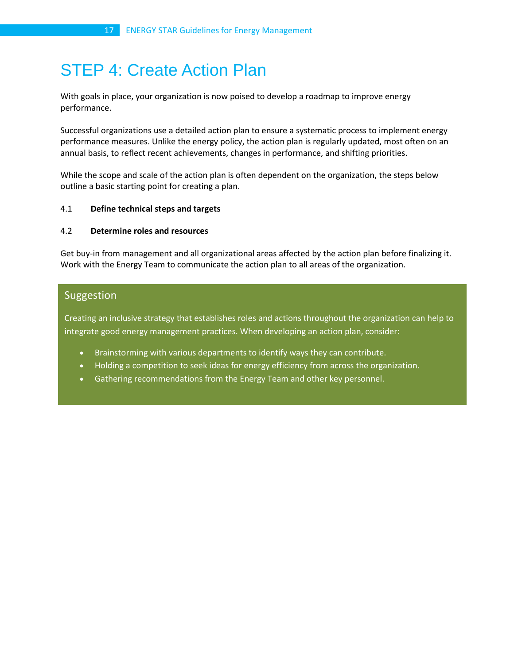# STEP 4: Create Action Plan

With goals in place, your organization is now poised to develop a roadmap to improve energy performance.

Successful organizations use a detailed action plan to ensure a systematic process to implement energy performance measures. Unlike the energy policy, the action plan is regularly updated, most often on an annual basis, to reflect recent achievements, changes in performance, and shifting priorities.

While the scope and scale of the action plan is often dependent on the organization, the steps below outline a basic starting point for creating a plan.

#### 4.1 **Define technical steps and targets**

#### 4.2 **Determine roles and resources**

Get buy-in from management and all organizational areas affected by the action plan before finalizing it. Work with the Energy Team to communicate the action plan to all areas of the organization.

# Suggestion

Creating an inclusive strategy that establishes roles and actions throughout the organization can help to integrate good energy management practices. When developing an action plan, consider:

- Brainstorming with various departments to identify ways they can contribute.
- Holding a competition to seek ideas for energy efficiency from across the organization.
- Gathering recommendations from the Energy Team and other key personnel.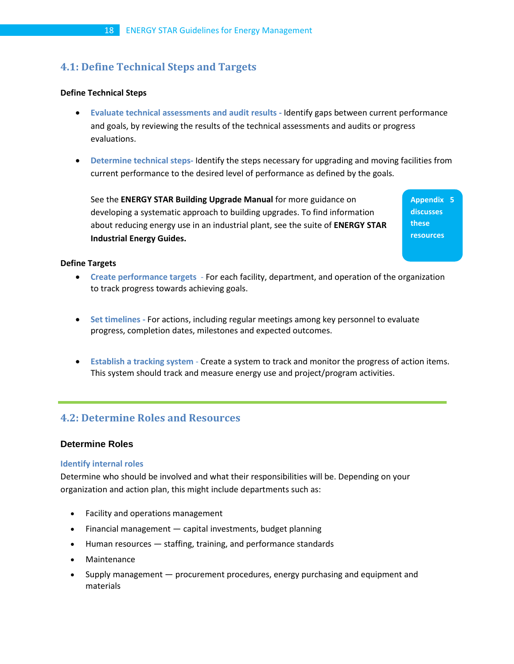# **4.1: Define Technical Steps and Targets**

#### **Define Technical Steps**

- **Evaluate technical assessments and audit results -** Identify gaps between current performance and goals, by reviewing the results of the technical assessments and audits or progress evaluations.
- **Determine technical steps-** Identify the steps necessary for upgrading and moving facilities from current performance to the desired level of performance as defined by the goals.

See the **ENERGY STAR Building Upgrade Manual** for more guidance on developing a systematic approach to building upgrades. To find information about reducing energy use in an industrial plant, see the suite of **ENERGY STAR Industrial Energy Guides.**

**Appendix 5 discusses these resources** 

#### **Define Targets**

- **Create performance targets**  For each facility, department, and operation of the organization to track progress towards achieving goals.
- **Set timelines -** For actions, including regular meetings among key personnel to evaluate progress, completion dates, milestones and expected outcomes.
- **Establish a tracking system** Create a system to track and monitor the progress of action items. This system should track and measure energy use and project/program activities.

# **4.2: Determine Roles and Resources**

# **Determine Roles**

#### **Identify internal roles**

Determine who should be involved and what their responsibilities will be. Depending on your organization and action plan, this might include departments such as:

- Facility and operations management
- Financial management capital investments, budget planning
- Human resources staffing, training, and performance standards
- **Maintenance**
- Supply management procurement procedures, energy purchasing and equipment and materials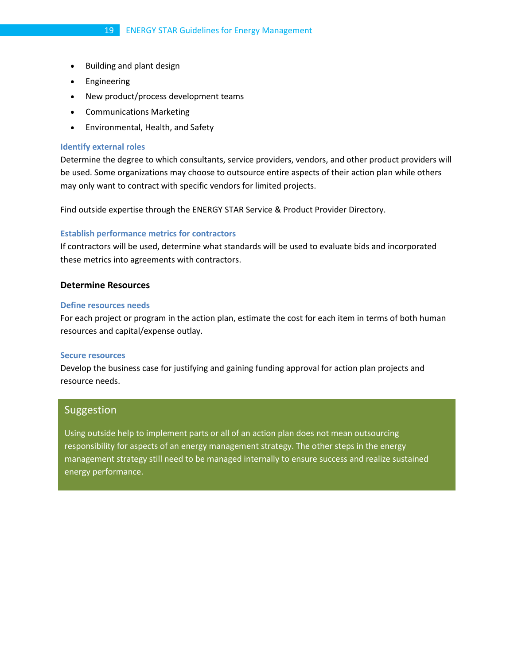- Building and plant design
- **Engineering**
- New product/process development teams
- Communications Marketing
- Environmental, Health, and Safety

#### **Identify external roles**

Determine the degree to which consultants, service providers, vendors, and other product providers will be used. Some organizations may choose to outsource entire aspects of their action plan while others may only want to contract with specific vendors for limited projects.

Find outside expertise through the ENERGY STAR Service & Product Provider Directory.

#### **Establish performance metrics for contractors**

If contractors will be used, determine what standards will be used to evaluate bids and incorporated these metrics into agreements with contractors.

#### **Determine Resources**

#### **Define resources needs**

For each project or program in the action plan, estimate the cost for each item in terms of both human resources and capital/expense outlay.

#### **Secure resources**

Develop the business case for justifying and gaining funding approval for action plan projects and resource needs.

# Suggestion

Using outside help to implement parts or all of an action plan does not mean outsourcing responsibility for aspects of an energy management strategy. The other steps in the energy management strategy still need to be managed internally to ensure success and realize sustained energy performance.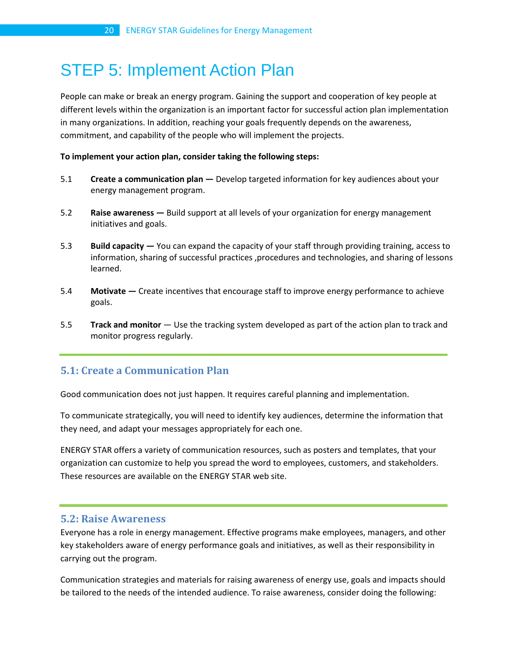# STEP 5: Implement Action Plan

People can make or break an energy program. Gaining the support and cooperation of key people at different levels within the organization is an important factor for successful action plan implementation in many organizations. In addition, reaching your goals frequently depends on the awareness, commitment, and capability of the people who will implement the projects.

#### **To implement your action plan, consider taking the following steps:**

- 5.1 **Create a communication plan —** Develop targeted information for key audiences about your energy management program.
- 5.2 **[Raise awareness](http://www.energystar.gov/index.cfm?c=implement_plan.raise_awareness) —** Build support at all levels of your organization for energy management initiatives and goals.
- 5.3 **[Build capacity](http://www.energystar.gov/index.cfm?c=implement_plan.build_capacity) —** You can expand the capacity of your staff through providing training, access to information, sharing of successful practices ,procedures and technologies, and sharing of lessons learned.
- 5.4 **[Motivate](http://www.energystar.gov/index.cfm?c=implement_plan.motivate) —** Create incentives that encourage staff to improve energy performance to achieve goals.
- 5.5 **[Track and monitor](http://www.energystar.gov/index.cfm?c=implement_plan.track_monitor)** Use the tracking system developed as part of the action plan to track and monitor progress regularly.

# **5.1: Create a Communication Plan**

Good communication does not just happen. It requires careful planning and implementation.

To communicate strategically, you will need to identify key audiences, determine the information that they need, and adapt your messages appropriately for each one.

ENERGY STAR offers a variety of communication resources, such as posters and templates, that your organization can customize to help you spread the word to employees, customers, and stakeholders. These resources are available on the ENERGY STAR web site.

# **5.2: Raise Awareness**

Everyone has a role in energy management. Effective programs make employees, managers, and other key stakeholders aware of energy performance goals and initiatives, as well as their responsibility in carrying out the program.

Communication strategies and materials for raising awareness of energy use, goals and impacts should be tailored to the needs of the intended audience. To raise awareness, consider doing the following: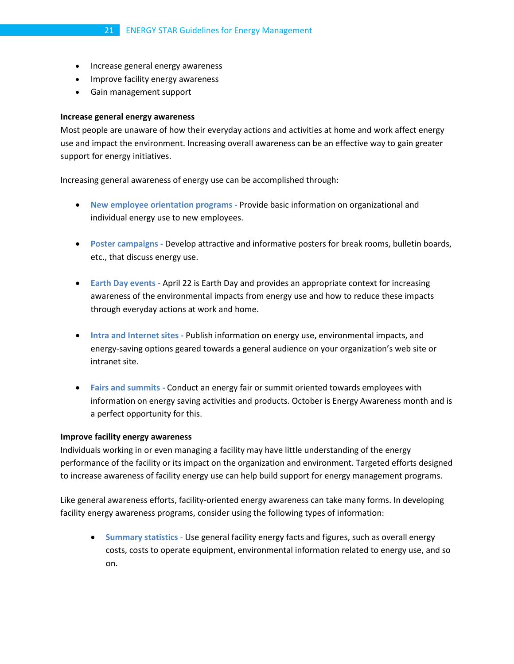- Increase general energy awareness
- Improve facility energy awareness
- Gain management support

#### **Increase general energy awareness**

Most people are unaware of how their everyday actions and activities at home and work affect energy use and impact the environment. Increasing overall awareness can be an effective way to gain greater support for energy initiatives.

Increasing general awareness of energy use can be accomplished through:

- **New employee orientation programs -** Provide basic information on organizational and individual energy use to new employees.
- **Poster campaigns -** Develop attractive and informative posters for break rooms, bulletin boards, etc., that discuss energy use.
- **Earth Day events -** April 22 is Earth Day and provides an appropriate context for increasing awareness of the environmental impacts from energy use and how to reduce these impacts through everyday actions at work and home.
- **Intra and Internet sites -** Publish information on energy use, environmental impacts, and energy-saving options geared towards a general audience on your organization's web site or intranet site.
- **Fairs and summits -** Conduct an energy fair or summit oriented towards employees with information on energy saving activities and products. October is Energy Awareness month and is a perfect opportunity for this.

#### **Improve facility energy awareness**

Individuals working in or even managing a facility may have little understanding of the energy performance of the facility or its impact on the organization and environment. Targeted efforts designed to increase awareness of facility energy use can help build support for energy management programs.

Like general awareness efforts, facility-oriented energy awareness can take many forms. In developing facility energy awareness programs, consider using the following types of information:

• **Summary statistics** - Use general facility energy facts and figures, such as overall energy costs, costs to operate equipment, environmental information related to energy use, and so on.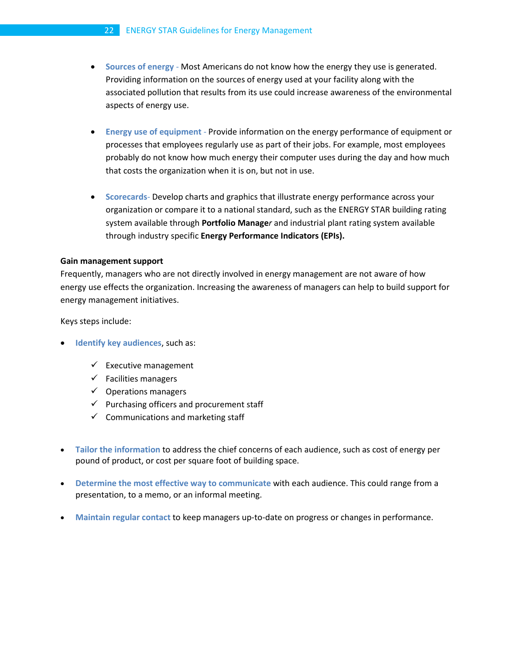#### 22 ENERGY STAR Guidelines for Energy Management

- **Sources of energy** Most Americans do not know how the energy they use is generated. Providing information on the sources of energy used at your facility along with the associated pollution that results from its use could increase awareness of the environmental aspects of energy use.
- **Energy use of equipment** Provide information on the energy performance of equipment or processes that employees regularly use as part of their jobs. For example, most employees probably do not know how much energy their computer uses during the day and how much that costs the organization when it is on, but not in use.
- **Scorecards** Develop charts and graphics that illustrate energy performance across your organization or compare it to a national standard, such as the ENERGY STAR building rating system available through **Portfolio Manage***r* and industrial plant rating system available through industry specific **[Energy Performance Indicators \(EPIs\).](http://www.energystar.gov/index.cfm?c=in_focus.bus_industries_focus#plant)**

#### **Gain management support**

Frequently, managers who are not directly involved in energy management are not aware of how energy use effects the organization. Increasing the awareness of managers can help to build support for energy management initiatives.

Keys steps include:

- **Identify key audiences, such as:** 
	- $\checkmark$  Executive management
	- $\checkmark$  Facilities managers
	- $\checkmark$  Operations managers
	- $\checkmark$  Purchasing officers and procurement staff
	- $\checkmark$  Communications and marketing staff
- **Tailor the information** to address the chief concerns of each audience, such as cost of energy per pound of product, or cost per square foot of building space.
- **Determine the most effective way to communicate** with each audience. This could range from a presentation, to a memo, or an informal meeting.
- **Maintain regular contact** to keep managers up-to-date on progress or changes in performance.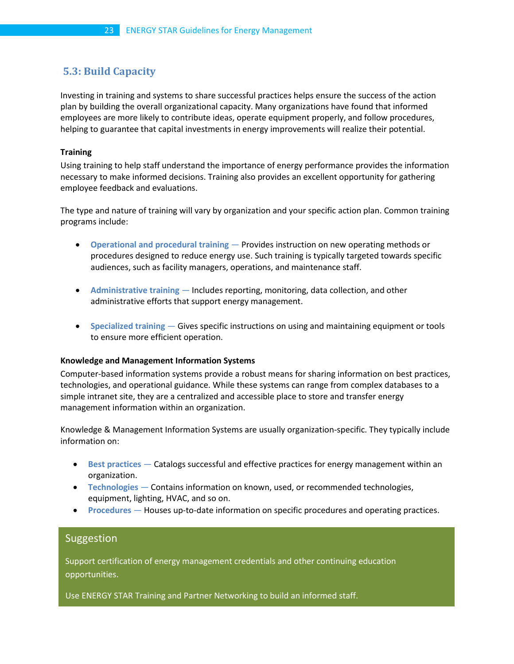# **5.3: Build Capacity**

Investing in training and systems to share successful practices helps ensure the success of the action plan by building the overall organizational capacity. Many organizations have found that informed employees are more likely to contribute ideas, operate equipment properly, and follow procedures, helping to guarantee that capital investments in energy improvements will realize their potential.

# **Training**

Using training to help staff understand the importance of energy performance provides the information necessary to make informed decisions. Training also provides an excellent opportunity for gathering employee feedback and evaluations.

The type and nature of training will vary by organization and your specific action plan. Common training programs include:

- **Operational and procedural training** Provides instruction on new operating methods or procedures designed to reduce energy use. Such training is typically targeted towards specific audiences, such as facility managers, operations, and maintenance staff.
- **Administrative training** Includes reporting, monitoring, data collection, and other administrative efforts that support energy management.
- **Specialized training** Gives specific instructions on using and maintaining equipment or tools to ensure more efficient operation.

#### **Knowledge and Management Information Systems**

Computer-based information systems provide a robust means for sharing information on best practices, technologies, and operational guidance. While these systems can range from complex databases to a simple intranet site, they are a centralized and accessible place to store and transfer energy management information within an organization.

Knowledge & Management Information Systems are usually organization-specific. They typically include information on:

- **Best practices** Catalogs successful and effective practices for energy management within an organization.
- **Technologies** Contains information on known, used, or recommended technologies, equipment, lighting, HVAC, and so on.
- **Procedures** Houses up-to-date information on specific procedures and operating practices.

# Suggestion

Support certification of energy management credentials and other continuing education opportunities.

Use ENERGY STAR Training and Partner Networking to build an informed staff.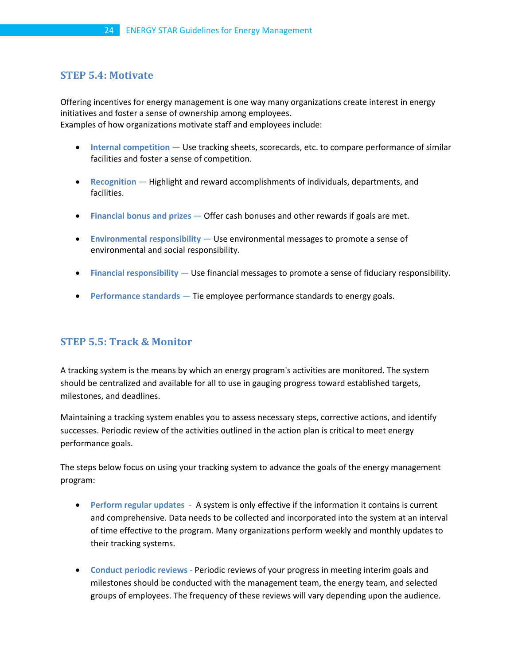# **STEP 5.4: Motivate**

Offering incentives for energy management is one way many organizations create interest in energy initiatives and foster a sense of ownership among employees. Examples of how organizations motivate staff and employees include:

- **Internal competition** Use tracking sheets, scorecards, etc. to compare performance of similar facilities and foster a sense of competition.
- **Recognition** Highlight and reward accomplishments of individuals, departments, and facilities.
- **Financial bonus and prizes** Offer cash bonuses and other rewards if goals are met.
- **Environmental responsibility** Use environmental messages to promote a sense of environmental and social responsibility.
- **Financial responsibility** Use financial messages to promote a sense of fiduciary responsibility.
- **Performance standards** Tie employee performance standards to energy goals.

# **STEP 5.5: Track & Monitor**

A tracking system is the means by which an energy program's activities are monitored. The system should be centralized and available for all to use in gauging progress toward established targets, milestones, and deadlines.

Maintaining a tracking system enables you to assess necessary steps, corrective actions, and identify successes. Periodic review of the activities outlined in the action plan is critical to meet energy performance goals.

The steps below focus on using your tracking system to advance the goals of the energy management program:

- **Perform regular updates** A system is only effective if the information it contains is current and comprehensive. Data needs to be collected and incorporated into the system at an interval of time effective to the program. Many organizations perform weekly and monthly updates to their tracking systems.
- **Conduct periodic reviews** Periodic reviews of your progress in meeting interim goals and milestones should be conducted with the management team, the energy team, and selected groups of employees. The frequency of these reviews will vary depending upon the audience.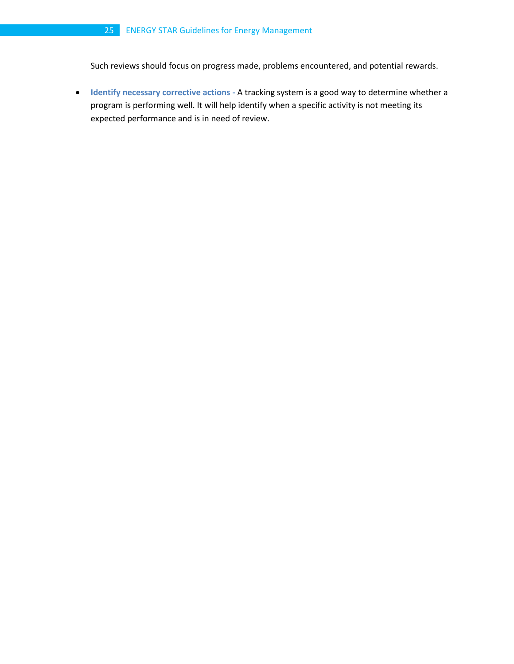Such reviews should focus on progress made, problems encountered, and potential rewards.

• **Identify necessary corrective actions -** A tracking system is a good way to determine whether a program is performing well. It will help identify when a specific activity is not meeting its expected performance and is in need of review.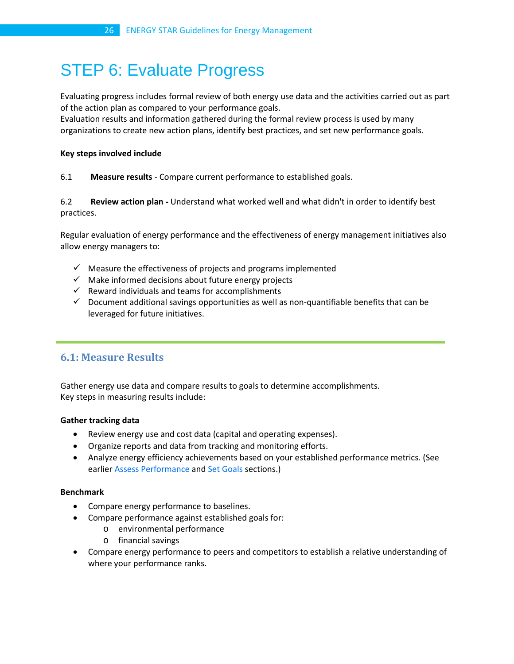# STEP 6: Evaluate Progress

Evaluating progress includes formal review of both energy use data and the activities carried out as part of the action plan as compared to your performance goals.

Evaluation results and information gathered during the formal review process is used by many organizations to create new action plans, identify best practices, and set new performance goals.

#### **Key steps involved include**

# 6.1 **Measure results** - Compare current performance to established goals.

6.2 **Review action plan -** Understand what worked well and what didn't in order to identify best practices.

Regular evaluation of energy performance and the effectiveness of energy management initiatives also allow energy managers to:

- $\checkmark$  Measure the effectiveness of projects and programs implemented
- $\checkmark$  Make informed decisions about future energy projects
- $\checkmark$  Reward individuals and teams for accomplishments
- $\checkmark$  Document additional savings opportunities as well as non-quantifiable benefits that can be leveraged for future initiatives.

# **6.1: Measure Results**

Gather energy use data and compare results to goals to determine accomplishments. Key steps in measuring results include:

# **Gather tracking data**

- Review energy use and cost data (capital and operating expenses).
- Organize reports and data from tracking and monitoring efforts.
- Analyze energy efficiency achievements based on your established performance metrics. (See earlier Assess Performance and Set Goals sections.)

#### **Benchmark**

- Compare energy performance to baselines.
- Compare performance against established goals for:
	- o environmental performance
	- o financial savings
- Compare energy performance to peers and competitors to establish a relative understanding of where your performance ranks.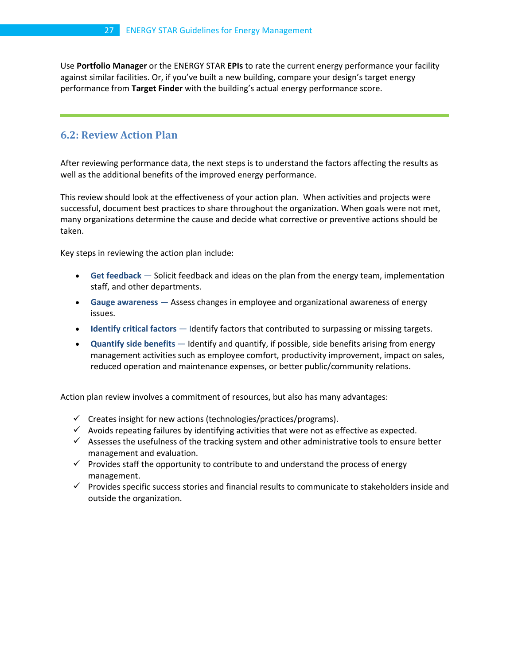Use **Portfolio Manager** or the ENERGY STAR **EPIs** to rate the current energy performance your facility against similar facilities. Or, if you've built a new building, compare your design's target energy performance from **Target Finder** with the building's actual energy performance score.

# **6.2: Review Action Plan**

After reviewing performance data, the next steps is to understand the factors affecting the results as well as the additional benefits of the improved energy performance.

This review should look at the effectiveness of your action plan. When activities and projects were successful, document best practices to share throughout the organization. When goals were not met, many organizations determine the cause and decide what corrective or preventive actions should be taken.

Key steps in reviewing the action plan include:

- **Get feedback** Solicit feedback and ideas on the plan from the energy team, implementation staff, and other departments.
- **Gauge awareness** Assess changes in employee and organizational awareness of energy issues.
- **Identify critical factors** Identify factors that contributed to surpassing or missing targets.
- **Quantify side benefits** Identify and quantify, if possible, side benefits arising from energy management activities such as employee comfort, productivity improvement, impact on sales, reduced operation and maintenance expenses, or better public/community relations.

Action plan review involves a commitment of resources, but also has many advantages:

- $\checkmark$  Creates insight for new actions (technologies/practices/programs).
- $\checkmark$  Avoids repeating failures by identifying activities that were not as effective as expected.
- $\checkmark$  Assesses the usefulness of the tracking system and other administrative tools to ensure better management and evaluation.
- $\checkmark$  Provides staff the opportunity to contribute to and understand the process of energy management.
- $\checkmark$  Provides specific success stories and financial results to communicate to stakeholders inside and outside the organization.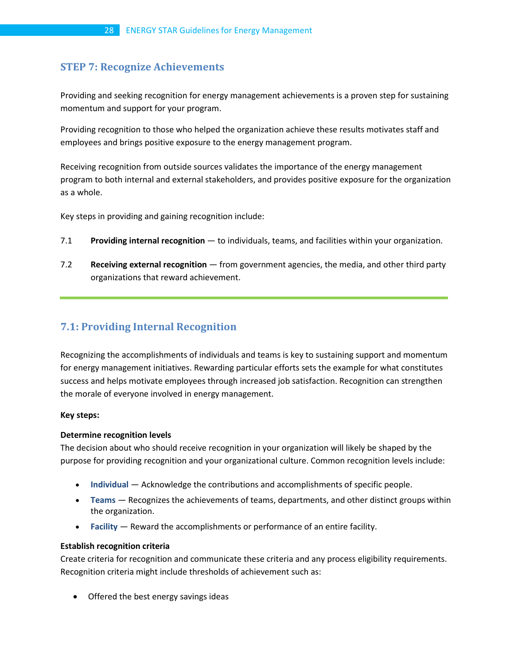# **STEP 7: Recognize Achievements**

Providing and seeking recognition for energy management achievements is a proven step for sustaining momentum and support for your program.

Providing recognition to those who helped the organization achieve these results motivates staff and employees and brings positive exposure to the energy management program.

Receiving recognition from outside sources validates the importance of the energy management program to both internal and external stakeholders, and provides positive exposure for the organization as a whole.

Key steps in providing and gaining recognition include:

- 7.1 **[Providing internal recognition](http://www.energystar.gov/index.cfm?c=recognize_achievements.internal_recognition)** to individuals, teams, and facilities within your organization.
- 7.2 **[Receiving external recognition](http://www.energystar.gov/index.cfm?c=recognize_achievements.external_recognition)** from government agencies, the media, and other third party organizations that reward achievement.

# **7.1: Providing Internal Recognition**

Recognizing the accomplishments of individuals and teams is key to sustaining support and momentum for energy management initiatives. Rewarding particular efforts sets the example for what constitutes success and helps motivate employees through increased job satisfaction. Recognition can strengthen the morale of everyone involved in energy management.

#### **Key steps:**

#### **Determine recognition levels**

The decision about who should receive recognition in your organization will likely be shaped by the purpose for providing recognition and your organizational culture. Common recognition levels include:

- **Individual** Acknowledge the contributions and accomplishments of specific people.
- **Teams** Recognizes the achievements of teams, departments, and other distinct groups within the organization.
- **Facility** Reward the accomplishments or performance of an entire facility.

#### **Establish recognition criteria**

Create criteria for recognition and communicate these criteria and any process eligibility requirements. Recognition criteria might include thresholds of achievement such as:

• Offered the best energy savings ideas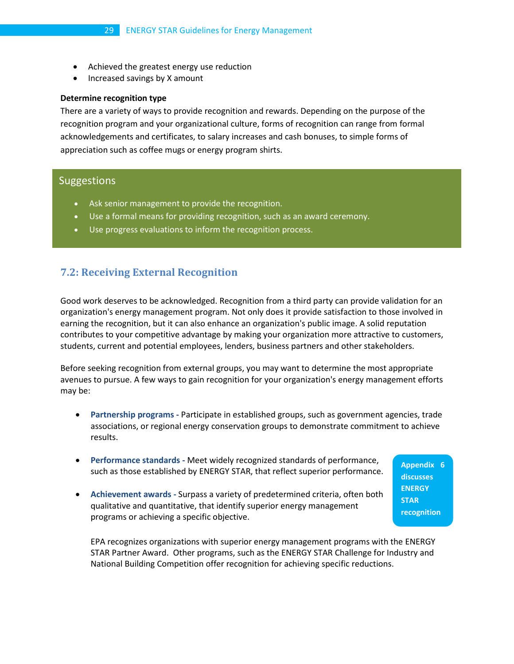- Achieved the greatest energy use reduction
- Increased savings by X amount

#### **Determine recognition type**

There are a variety of ways to provide recognition and rewards. Depending on the purpose of the recognition program and your organizational culture, forms of recognition can range from formal acknowledgements and certificates, to salary increases and cash bonuses, to simple forms of appreciation such as coffee mugs or energy program shirts.

# **Suggestions**

- Ask senior management to provide the recognition.
- Use a formal means for providing recognition, such as an award ceremony.
- Use progress evaluations to inform the recognition process.

# **7.2: Receiving External Recognition**

Good work deserves to be acknowledged. Recognition from a third party can provide validation for an organization's energy management program. Not only does it provide satisfaction to those involved in earning the recognition, but it can also enhance an organization's public image. A solid reputation contributes to your competitive advantage by making your organization more attractive to customers, students, current and potential employees, lenders, business partners and other stakeholders.

Before seeking recognition from external groups, you may want to determine the most appropriate avenues to pursue. A few ways to gain recognition for your organization's energy management efforts may be:

- **Partnership programs -** Participate in established groups, such as government agencies, trade associations, or regional energy conservation groups to demonstrate commitment to achieve results.
- **Performance standards -** Meet widely recognized standards of performance, such as those established by ENERGY STAR, that reflect superior performance.
- **Achievement awards -** Surpass a variety of predetermined criteria, often both qualitative and quantitative, that identify superior energy management programs or achieving a specific objective.

EPA recognizes organizations with superior energy management programs with th[e ENERGY](http://www.energystar.gov/index.cfm?c=pt_awards.pt_es_awards)  [STAR Partner Award.](http://www.energystar.gov/index.cfm?c=pt_awards.pt_es_awards) Other programs, such as the ENERGY STAR Challenge for Industry and National Building Competition offer recognition for achieving specific reductions.

**Appendix 6 discusses ENERGY STAR recognition**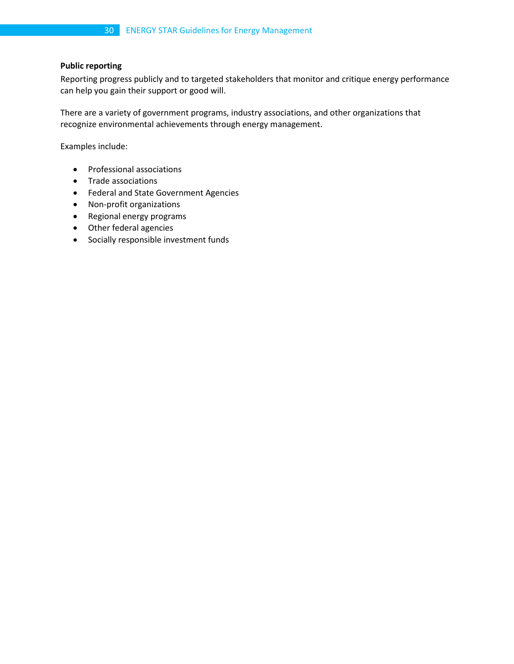# **Public reporting**

Reporting progress publicly and to targeted stakeholders that monitor and critique energy performance can help you gain their support or good will.

There are a variety of government programs, industry associations, and other organizations that recognize environmental achievements through energy management.

Examples include:

- Professional associations
- Trade associations
- Federal and State Government Agencies
- Non-profit organizations
- Regional energy programs
- Other federal agencies
- Socially responsible investment funds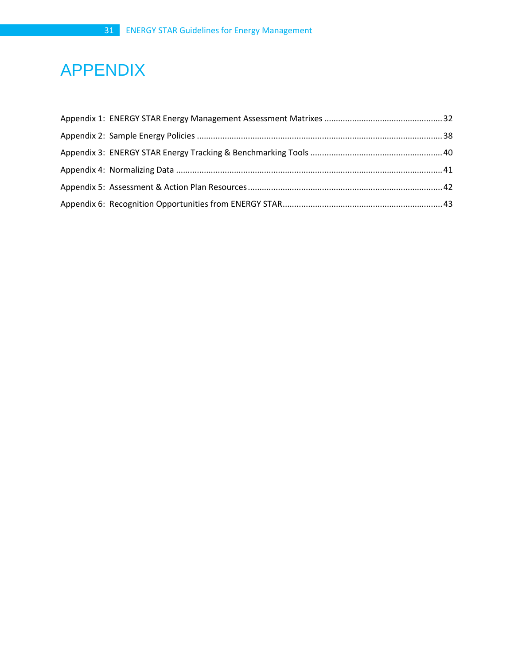# APPENDIX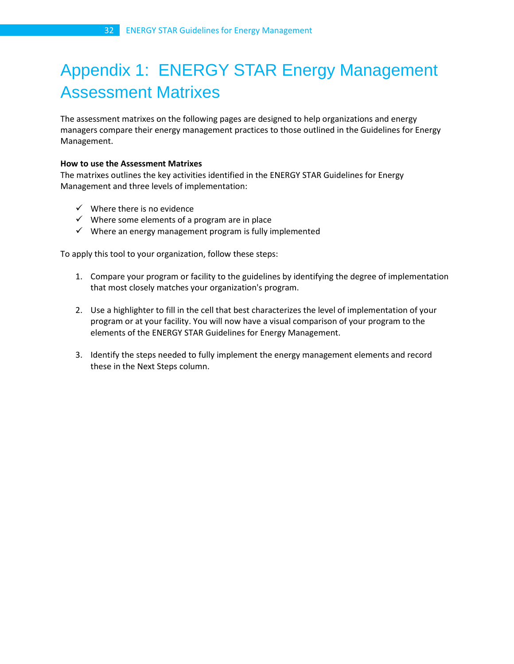# <span id="page-31-0"></span>Appendix 1: ENERGY STAR Energy Management Assessment Matrixes

The assessment matrixes on the following pages are designed to help organizations and energy managers compare their energy management practices to those outlined in the Guidelines for Energy Management.

# **How to use the Assessment Matrixes**

The matrixes outlines the key activities identified in the ENERGY STAR Guidelines for Energy Management and three levels of implementation:

- $\checkmark$  Where there is no evidence
- $\checkmark$  Where some elements of a program are in place
- $\checkmark$  Where an energy management program is fully implemented

To apply this tool to your organization, follow these steps:

- 1. Compare your program or facility to the guidelines by identifying the degree of implementation that most closely matches your organization's program.
- 2. Use a highlighter to fill in the cell that best characterizes the level of implementation of your program or at your facility. You will now have a visual comparison of your program to the elements of the ENERGY STAR Guidelines for Energy Management.
- 3. Identify the steps needed to fully implement the energy management elements and record these in the Next Steps column.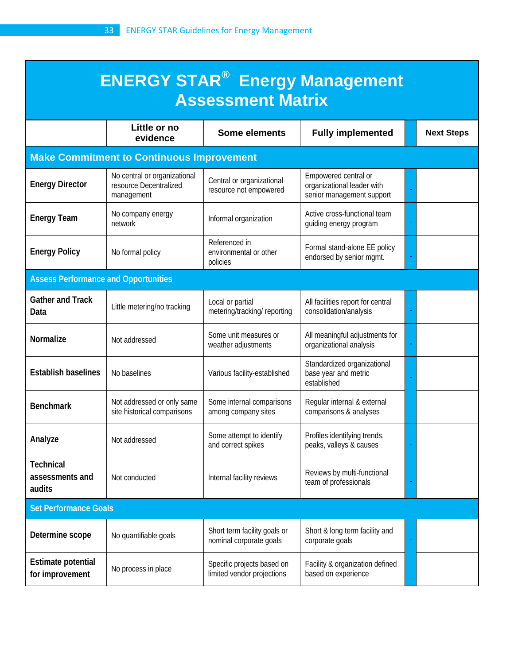| <b>ENERGY STAR<sup>®</sup> Energy Management</b><br><b>Assessment Matrix</b> |                                                                      |                                                          |                                                                                 |  |                   |  |
|------------------------------------------------------------------------------|----------------------------------------------------------------------|----------------------------------------------------------|---------------------------------------------------------------------------------|--|-------------------|--|
|                                                                              | Little or no<br>evidence                                             | <b>Some elements</b>                                     | <b>Fully implemented</b>                                                        |  | <b>Next Steps</b> |  |
|                                                                              | <b>Make Commitment to Continuous Improvement</b>                     |                                                          |                                                                                 |  |                   |  |
| <b>Energy Director</b>                                                       | No central or organizational<br>resource Decentralized<br>management | Central or organizational<br>resource not empowered      | Empowered central or<br>organizational leader with<br>senior management support |  |                   |  |
| <b>Energy Team</b>                                                           | No company energy<br>network                                         | Informal organization                                    | Active cross-functional team<br>guiding energy program                          |  |                   |  |
| <b>Energy Policy</b>                                                         | No formal policy                                                     | Referenced in<br>environmental or other<br>policies      | Formal stand-alone EE policy<br>endorsed by senior mgmt.                        |  |                   |  |
| <b>Assess Performance and Opportunities</b>                                  |                                                                      |                                                          |                                                                                 |  |                   |  |
| <b>Gather and Track</b><br>Data                                              | Little metering/no tracking                                          | Local or partial<br>metering/tracking/reporting          | All facilities report for central<br>consolidation/analysis                     |  |                   |  |
| Normalize                                                                    | Not addressed                                                        | Some unit measures or<br>weather adjustments             | All meaningful adjustments for<br>organizational analysis                       |  |                   |  |
| <b>Establish baselines</b>                                                   | No baselines                                                         | Various facility-established                             | Standardized organizational<br>base year and metric<br>established              |  |                   |  |
| <b>Benchmark</b>                                                             | Not addressed or only same<br>site historical comparisons            | Some internal comparisons<br>among company sites         | Regular internal & external<br>comparisons & analyses                           |  |                   |  |
| Analyze                                                                      | Not addressed                                                        | Some attempt to identify<br>and correct spikes           | Profiles identifying trends,<br>peaks, valleys & causes                         |  |                   |  |
| <b>Technical</b><br>assessments and<br>audits                                | Not conducted                                                        | Internal facility reviews                                | Reviews by multi-functional<br>team of professionals                            |  |                   |  |
| <b>Set Performance Goals</b>                                                 |                                                                      |                                                          |                                                                                 |  |                   |  |
| Determine scope                                                              | No quantifiable goals                                                | Short term facility goals or<br>nominal corporate goals  | Short & long term facility and<br>corporate goals                               |  |                   |  |
| <b>Estimate potential</b><br>for improvement                                 | No process in place                                                  | Specific projects based on<br>limited vendor projections | Facility & organization defined<br>based on experience                          |  |                   |  |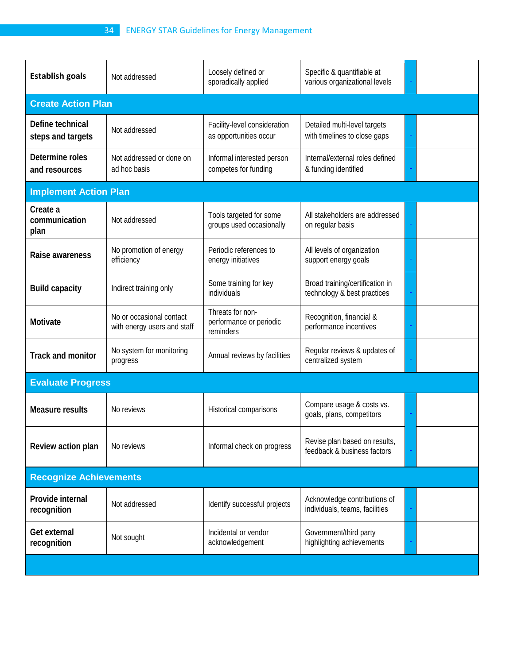| <b>Establish goals</b>                | Not addressed                                           | Loosely defined or<br>sporadically applied               | Specific & quantifiable at<br>various organizational levels    |  |  |
|---------------------------------------|---------------------------------------------------------|----------------------------------------------------------|----------------------------------------------------------------|--|--|
| <b>Create Action Plan</b>             |                                                         |                                                          |                                                                |  |  |
| Define technical<br>steps and targets | Not addressed                                           | Facility-level consideration<br>as opportunities occur   | Detailed multi-level targets<br>with timelines to close gaps   |  |  |
| Determine roles<br>and resources      | Not addressed or done on<br>ad hoc basis                | Informal interested person<br>competes for funding       | Internal/external roles defined<br>& funding identified        |  |  |
| <b>Implement Action Plan</b>          |                                                         |                                                          |                                                                |  |  |
| Create a<br>communication<br>plan     | Not addressed                                           | Tools targeted for some<br>groups used occasionally      | All stakeholders are addressed<br>on regular basis             |  |  |
| Raise awareness                       | No promotion of energy<br>efficiency                    | Periodic references to<br>energy initiatives             | All levels of organization<br>support energy goals             |  |  |
| <b>Build capacity</b>                 | Indirect training only                                  | Some training for key<br>individuals                     | Broad training/certification in<br>technology & best practices |  |  |
| Motivate                              | No or occasional contact<br>with energy users and staff | Threats for non-<br>performance or periodic<br>reminders | Recognition, financial &<br>performance incentives             |  |  |
| <b>Track and monitor</b>              | No system for monitoring<br>progress                    | Annual reviews by facilities                             | Regular reviews & updates of<br>centralized system             |  |  |
| <b>Evaluate Progress</b>              |                                                         |                                                          |                                                                |  |  |
| <b>Measure results</b>                | No reviews                                              | Historical comparisons                                   | Compare usage & costs vs.<br>goals, plans, competitors         |  |  |
| Review action plan                    | No reviews                                              | Informal check on progress                               | Revise plan based on results,<br>feedback & business factors   |  |  |
| <b>Recognize Achievements</b>         |                                                         |                                                          |                                                                |  |  |
| Provide internal<br>recognition       | Not addressed                                           | Identify successful projects                             | Acknowledge contributions of<br>individuals, teams, facilities |  |  |
| Get external<br>recognition           | Not sought                                              | Incidental or vendor<br>acknowledgement                  | Government/third party<br>highlighting achievements            |  |  |
|                                       |                                                         |                                                          |                                                                |  |  |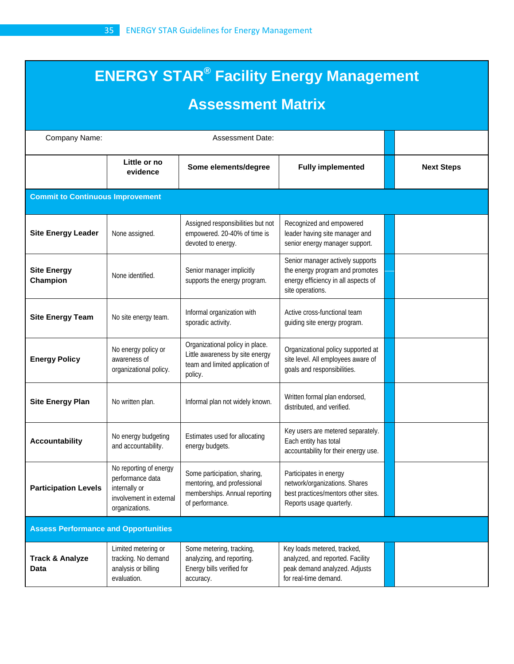# **ENERGY STAR® Facility Energy Management Assessment Matrix**

| Company Name:                               |                                                                                                          |                                                                                                                  |                                                                                                                                |                   |  |
|---------------------------------------------|----------------------------------------------------------------------------------------------------------|------------------------------------------------------------------------------------------------------------------|--------------------------------------------------------------------------------------------------------------------------------|-------------------|--|
|                                             | Little or no<br>evidence                                                                                 | Some elements/degree                                                                                             | <b>Fully implemented</b>                                                                                                       | <b>Next Steps</b> |  |
| <b>Commit to Continuous Improvement</b>     |                                                                                                          |                                                                                                                  |                                                                                                                                |                   |  |
| <b>Site Energy Leader</b>                   | None assigned.                                                                                           | Assigned responsibilities but not<br>empowered. 20-40% of time is<br>devoted to energy.                          | Recognized and empowered<br>leader having site manager and<br>senior energy manager support.                                   |                   |  |
| <b>Site Energy</b><br>Champion              | None identified.                                                                                         | Senior manager implicitly<br>supports the energy program.                                                        | Senior manager actively supports<br>the energy program and promotes<br>energy efficiency in all aspects of<br>site operations. |                   |  |
| <b>Site Energy Team</b>                     | No site energy team.                                                                                     | Informal organization with<br>sporadic activity.                                                                 | Active cross-functional team<br>guiding site energy program.                                                                   |                   |  |
| <b>Energy Policy</b>                        | No energy policy or<br>awareness of<br>organizational policy.                                            | Organizational policy in place.<br>Little awareness by site energy<br>team and limited application of<br>policy. | Organizational policy supported at<br>site level. All employees aware of<br>goals and responsibilities.                        |                   |  |
| <b>Site Energy Plan</b>                     | No written plan.                                                                                         | Informal plan not widely known.                                                                                  | Written formal plan endorsed,<br>distributed, and verified.                                                                    |                   |  |
| <b>Accountability</b>                       | No energy budgeting<br>and accountability.                                                               | Estimates used for allocating<br>energy budgets.                                                                 | Key users are metered separately.<br>Each entity has total<br>accountability for their energy use.                             |                   |  |
| <b>Participation Levels</b>                 | No reporting of energy<br>performance data<br>internally or<br>involvement in external<br>organizations. | Some participation, sharing,<br>mentoring, and professional<br>memberships. Annual reporting<br>of performance.  | Participates in energy<br>network/organizations. Shares<br>best practices/mentors other sites.<br>Reports usage quarterly.     |                   |  |
| <b>Assess Performance and Opportunities</b> |                                                                                                          |                                                                                                                  |                                                                                                                                |                   |  |
| <b>Track &amp; Analyze</b><br>Data          | Limited metering or<br>tracking. No demand<br>analysis or billing<br>evaluation.                         | Some metering, tracking,<br>analyzing, and reporting.<br>Energy bills verified for<br>accuracy.                  | Key loads metered, tracked,<br>analyzed, and reported. Facility<br>peak demand analyzed. Adjusts<br>for real-time demand.      |                   |  |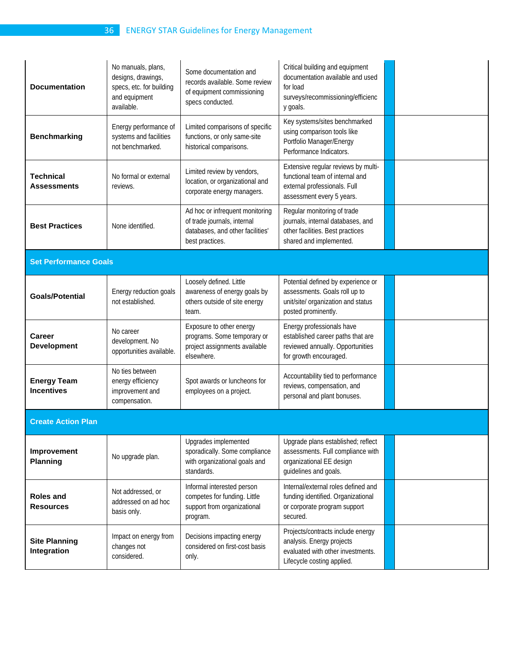# 36 ENERGY STAR Guidelines for Energy Management

| <b>Documentation</b>                    | No manuals, plans,<br>designs, drawings,<br>specs, etc. for building<br>and equipment<br>available. | Some documentation and<br>records available. Some review<br>of equipment commissioning<br>specs conducted.            | Critical building and equipment<br>documentation available and used<br>for load<br>surveys/recommissioning/efficienc<br>y goals.    |  |  |  |
|-----------------------------------------|-----------------------------------------------------------------------------------------------------|-----------------------------------------------------------------------------------------------------------------------|-------------------------------------------------------------------------------------------------------------------------------------|--|--|--|
| <b>Benchmarking</b>                     | Energy performance of<br>systems and facilities<br>not benchmarked.                                 | Limited comparisons of specific<br>functions, or only same-site<br>historical comparisons.                            | Key systems/sites benchmarked<br>using comparison tools like<br>Portfolio Manager/Energy<br>Performance Indicators.                 |  |  |  |
| <b>Technical</b><br><b>Assessments</b>  | No formal or external<br>reviews.                                                                   | Limited review by vendors,<br>location, or organizational and<br>corporate energy managers.                           | Extensive regular reviews by multi-<br>functional team of internal and<br>external professionals. Full<br>assessment every 5 years. |  |  |  |
| <b>Best Practices</b>                   | None identified.                                                                                    | Ad hoc or infrequent monitoring<br>of trade journals, internal<br>databases, and other facilities'<br>best practices. | Regular monitoring of trade<br>journals, internal databases, and<br>other facilities. Best practices<br>shared and implemented.     |  |  |  |
| <b>Set Performance Goals</b>            |                                                                                                     |                                                                                                                       |                                                                                                                                     |  |  |  |
| <b>Goals/Potential</b>                  | Energy reduction goals<br>not established.                                                          | Loosely defined. Little<br>awareness of energy goals by<br>others outside of site energy<br>team.                     | Potential defined by experience or<br>assessments. Goals roll up to<br>unit/site/ organization and status<br>posted prominently.    |  |  |  |
| <b>Career</b><br><b>Development</b>     | No career<br>development. No<br>opportunities available.                                            | Exposure to other energy<br>programs. Some temporary or<br>project assignments available<br>elsewhere.                | Energy professionals have<br>established career paths that are<br>reviewed annually. Opportunities<br>for growth encouraged.        |  |  |  |
| <b>Energy Team</b><br><b>Incentives</b> | No ties between<br>energy efficiency<br>improvement and<br>compensation.                            | Spot awards or luncheons for<br>employees on a project.                                                               | Accountability tied to performance<br>reviews, compensation, and<br>personal and plant bonuses.                                     |  |  |  |
| <b>Create Action Plan</b>               |                                                                                                     |                                                                                                                       |                                                                                                                                     |  |  |  |
| Improvement<br><b>Planning</b>          | No upgrade plan.                                                                                    | Upgrades implemented<br>sporadically. Some compliance<br>with organizational goals and<br>standards.                  | Upgrade plans established; reflect<br>assessments. Full compliance with<br>organizational EE design<br>guidelines and goals.        |  |  |  |
| <b>Roles and</b><br><b>Resources</b>    | Not addressed, or<br>addressed on ad hoc<br>basis only.                                             | Informal interested person<br>competes for funding. Little<br>support from organizational<br>program.                 | Internal/external roles defined and<br>funding identified. Organizational<br>or corporate program support<br>secured.               |  |  |  |
| <b>Site Planning</b><br>Integration     | Impact on energy from<br>changes not<br>considered.                                                 | Decisions impacting energy<br>considered on first-cost basis<br>only.                                                 | Projects/contracts include energy<br>analysis. Energy projects<br>evaluated with other investments.<br>Lifecycle costing applied.   |  |  |  |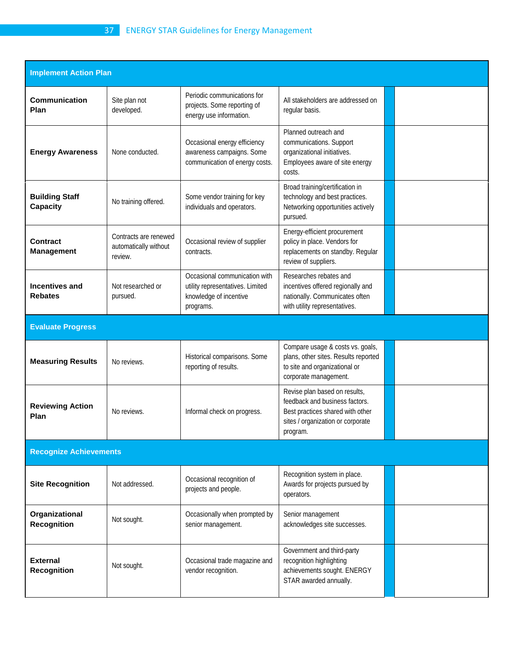| <b>Implement Action Plan</b>            |                                                           |                                                                                                          |                                                                                                                                                      |  |  |  |
|-----------------------------------------|-----------------------------------------------------------|----------------------------------------------------------------------------------------------------------|------------------------------------------------------------------------------------------------------------------------------------------------------|--|--|--|
| <b>Communication</b><br>Plan            | Site plan not<br>developed.                               | Periodic communications for<br>projects. Some reporting of<br>energy use information.                    | All stakeholders are addressed on<br>regular basis.                                                                                                  |  |  |  |
| <b>Energy Awareness</b>                 | None conducted.                                           | Occasional energy efficiency<br>awareness campaigns. Some<br>communication of energy costs.              | Planned outreach and<br>communications. Support<br>organizational initiatives.<br>Employees aware of site energy<br>costs.                           |  |  |  |
| <b>Building Staff</b><br>Capacity       | No training offered.                                      | Some vendor training for key<br>individuals and operators.                                               | Broad training/certification in<br>technology and best practices.<br>Networking opportunities actively<br>pursued.                                   |  |  |  |
| <b>Contract</b><br><b>Management</b>    | Contracts are renewed<br>automatically without<br>review. | Occasional review of supplier<br>contracts.                                                              | Energy-efficient procurement<br>policy in place. Vendors for<br>replacements on standby. Regular<br>review of suppliers.                             |  |  |  |
| <b>Incentives and</b><br><b>Rebates</b> | Not researched or<br>pursued.                             | Occasional communication with<br>utility representatives. Limited<br>knowledge of incentive<br>programs. | Researches rebates and<br>incentives offered regionally and<br>nationally. Communicates often<br>with utility representatives.                       |  |  |  |
| <b>Evaluate Progress</b>                |                                                           |                                                                                                          |                                                                                                                                                      |  |  |  |
| <b>Measuring Results</b>                | No reviews.                                               | Historical comparisons. Some<br>reporting of results.                                                    | Compare usage & costs vs. goals,<br>plans, other sites. Results reported<br>to site and organizational or<br>corporate management.                   |  |  |  |
| <b>Reviewing Action</b><br>Plan         | No reviews.                                               | Informal check on progress.                                                                              | Revise plan based on results,<br>feedback and business factors.<br>Best practices shared with other<br>sites / organization or corporate<br>program. |  |  |  |
| <b>Recognize Achievements</b>           |                                                           |                                                                                                          |                                                                                                                                                      |  |  |  |
| <b>Site Recognition</b>                 | Not addressed.                                            | Occasional recognition of<br>projects and people.                                                        | Recognition system in place.<br>Awards for projects pursued by<br>operators.                                                                         |  |  |  |
| Organizational<br><b>Recognition</b>    | Not sought.                                               | Occasionally when prompted by<br>senior management.                                                      | Senior management<br>acknowledges site successes.                                                                                                    |  |  |  |
| <b>External</b><br><b>Recognition</b>   | Not sought.                                               | Occasional trade magazine and<br>vendor recognition.                                                     | Government and third-party<br>recognition highlighting<br>achievements sought. ENERGY<br>STAR awarded annually.                                      |  |  |  |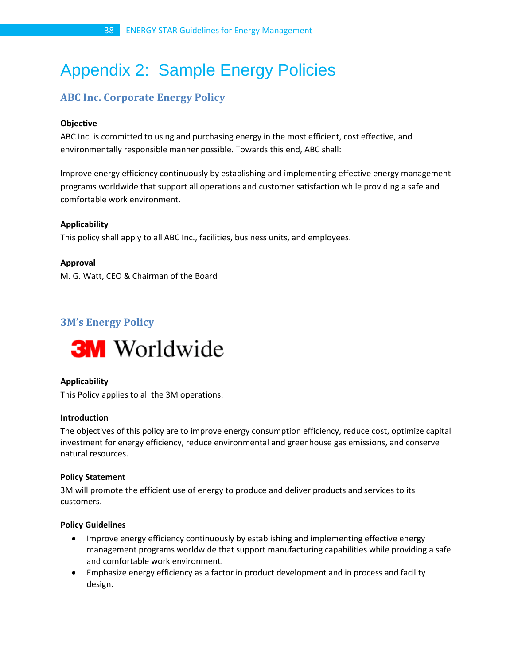# <span id="page-37-0"></span>Appendix 2: Sample Energy Policies

# **ABC Inc. Corporate Energy Policy**

# **Objective**

ABC Inc. is committed to using and purchasing energy in the most efficient, cost effective, and environmentally responsible manner possible. Towards this end, ABC shall:

Improve energy efficiency continuously by establishing and implementing effective energy management programs worldwide that support all operations and customer satisfaction while providing a safe and comfortable work environment.

# **Applicability**

This policy shall apply to all ABC Inc., facilities, business units, and employees.

# **Approval**

M. G. Watt, CEO & Chairman of the Board

# **3M's Energy Policy**



# **Applicability**

This Policy applies to all the 3M operations.

#### **Introduction**

The objectives of this policy are to improve energy consumption efficiency, reduce cost, optimize capital investment for energy efficiency, reduce environmental and greenhouse gas emissions, and conserve natural resources.

# **Policy Statement**

3M will promote the efficient use of energy to produce and deliver products and services to its customers.

#### **Policy Guidelines**

- Improve energy efficiency continuously by establishing and implementing effective energy management programs worldwide that support manufacturing capabilities while providing a safe and comfortable work environment.
- Emphasize energy efficiency as a factor in product development and in process and facility design.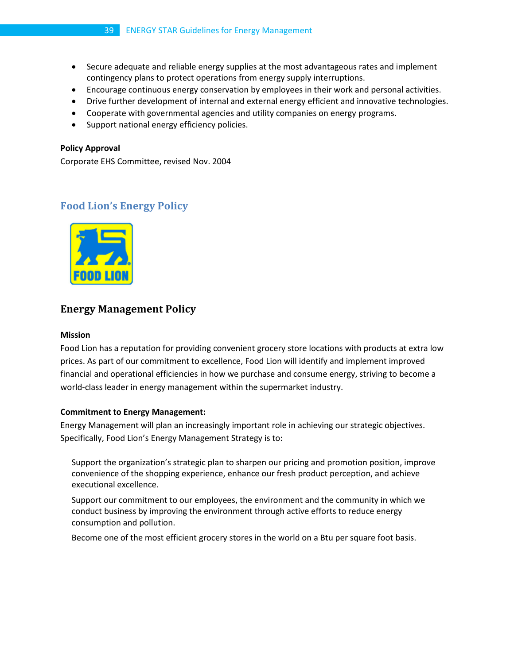- Secure adequate and reliable energy supplies at the most advantageous rates and implement contingency plans to protect operations from energy supply interruptions.
- Encourage continuous energy conservation by employees in their work and personal activities.
- Drive further development of internal and external energy efficient and innovative technologies.
- Cooperate with governmental agencies and utility companies on energy programs.
- Support national energy efficiency policies.

#### **Policy Approval**

Corporate EHS Committee, revised Nov. 2004

# **Food Lion's Energy Policy**



# **Energy Management Policy**

#### **Mission**

Food Lion has a reputation for providing convenient grocery store locations with products at extra low prices. As part of our commitment to excellence, Food Lion will identify and implement improved financial and operational efficiencies in how we purchase and consume energy, striving to become a world-class leader in energy management within the supermarket industry.

#### **Commitment to Energy Management:**

Energy Management will plan an increasingly important role in achieving our strategic objectives. Specifically, Food Lion's Energy Management Strategy is to:

Support the organization's strategic plan to sharpen our pricing and promotion position, improve convenience of the shopping experience, enhance our fresh product perception, and achieve executional excellence.

Support our commitment to our employees, the environment and the community in which we conduct business by improving the environment through active efforts to reduce energy consumption and pollution.

Become one of the most efficient grocery stores in the world on a Btu per square foot basis.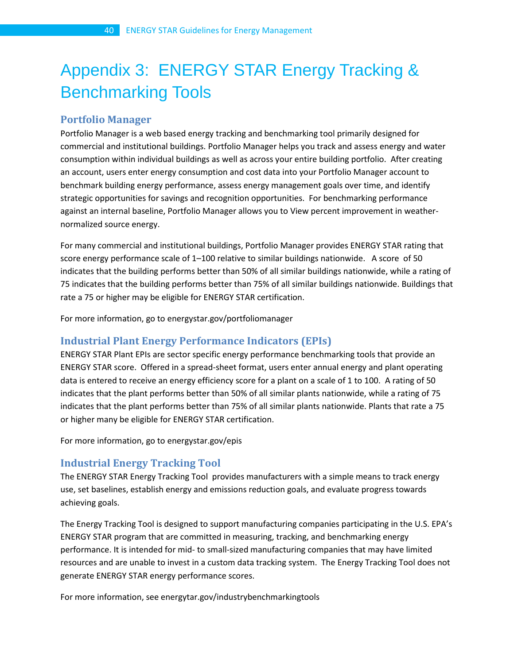# <span id="page-39-0"></span>Appendix 3: ENERGY STAR Energy Tracking & Benchmarking Tools

# **Portfolio Manager**

Portfolio Manager is a web based energy tracking and benchmarking tool primarily designed for commercial and institutional buildings. Portfolio Manager helps you track and assess energy and water consumption within individual buildings as well as across your entire building portfolio. After creating an account, users enter energy consumption and cost data into your Portfolio Manager account to benchmark building energy performance, assess energy management goals over time, and identify strategic opportunities for savings and recognition opportunities. For benchmarking performance against an internal baseline, Portfolio Manager allows you to View percent improvement in weathernormalized source energy.

For many commercial and institutional buildings, Portfolio Manager provides ENERGY STAR rating that score energy performance scale of 1–100 relative to similar buildings nationwide. A score of 50 indicates that the building performs better than 50% of all similar buildings nationwide, while a rating of 75 indicates that the building performs better than 75% of all similar buildings nationwide. Buildings that rate a 75 or higher may be eligible for ENERGY STAR certification.

For more information, go to energystar.gov/portfoliomanager

# **Industrial Plant Energy Performance Indicators (EPIs)**

ENERGY STAR Plant EPIs are sector specific energy performance benchmarking tools that provide an ENERGY STAR score. Offered in a spread-sheet format, users enter annual energy and plant operating data is entered to receive an energy efficiency score for a plant on a scale of 1 to 100. A rating of 50 indicates that the plant performs better than 50% of all similar plants nationwide, while a rating of 75 indicates that the plant performs better than 75% of all similar plants nationwide. Plants that rate a 75 or higher many be eligible for ENERGY STAR certification.

For more information, go to energystar.gov/epis

# **Industrial Energy Tracking Tool**

The ENERGY STAR Energy Tracking Tool provides manufacturers with a simple means to track energy use, set baselines, establish energy and emissions reduction goals, and evaluate progress towards achieving goals.

The Energy Tracking Tool is designed to support manufacturing companies participating in the U.S. EPA's ENERGY STAR program that are committed in measuring, tracking, and benchmarking energy performance. It is intended for mid- to small-sized manufacturing companies that may have limited resources and are unable to invest in a custom data tracking system. The Energy Tracking Tool does not generate ENERGY STAR energy performance scores.

For more information, see energytar.gov/industrybenchmarkingtools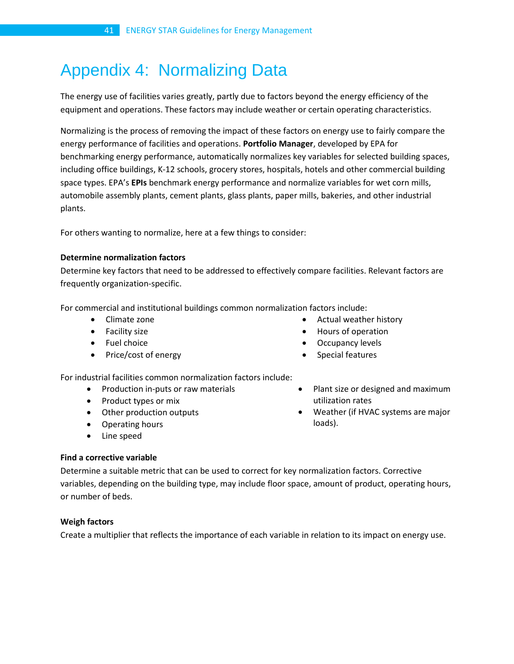# <span id="page-40-0"></span>Appendix 4: Normalizing Data

The energy use of facilities varies greatly, partly due to factors beyond the energy efficiency of the equipment and operations. These factors may include weather or certain operating characteristics.

Normalizing is the process of removing the impact of these factors on energy use to fairly compare the energy performance of facilities and operations. **Portfolio Manager**, developed by EPA for benchmarking energy performance, automatically normalizes key variables for selected building spaces, including office buildings, K-12 schools, grocery stores, hospitals, hotels and other commercial building space types. EPA's **EPIs** benchmark energy performance and normalize variables for wet corn mills, automobile assembly plants, cement plants, glass plants, paper mills, bakeries, and other industrial plants.

For others wanting to normalize, here at a few things to consider:

#### **Determine normalization factors**

Determine key factors that need to be addressed to effectively compare facilities. Relevant factors are frequently organization-specific.

For commercial and institutional buildings common normalization factors include:

- Climate zone
- Facility size
- Fuel choice
- Price/cost of energy
- Actual weather history
- Hours of operation
- Occupancy levels
- Special features

For industrial facilities common normalization factors include:

- Production in-puts or raw materials
- Product types or mix
- Other production outputs
- Operating hours
- Line speed
- Plant size or designed and maximum utilization rates
- Weather (if HVAC systems are major loads).

# **Find a corrective variable**

Determine a suitable metric that can be used to correct for key normalization factors. Corrective variables, depending on the building type, may include floor space, amount of product, operating hours, or number of beds.

# **Weigh factors**

Create a multiplier that reflects the importance of each variable in relation to its impact on energy use.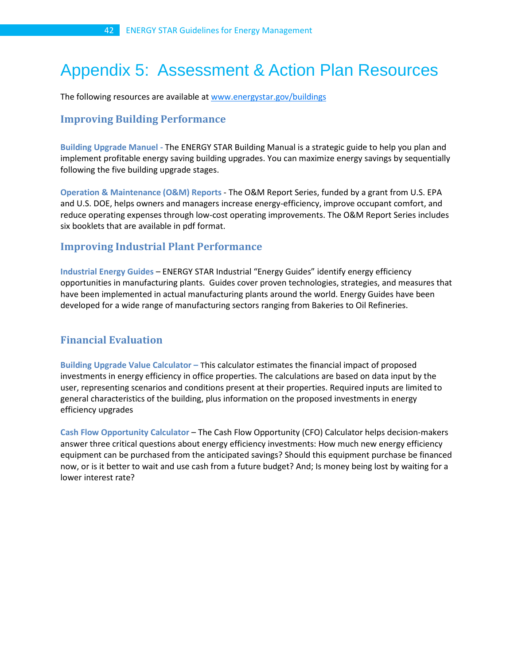# <span id="page-41-0"></span>Appendix 5: Assessment & Action Plan Resources

The following resources are available a[t www.energystar.gov/buildings](http://www.energystar.gov/buildings)

# **Improving Building Performance**

**Building Upgrade Manuel -** The ENERGY STAR Building Manual is a strategic guide to help you plan and implement profitable energy saving building upgrades. You can maximize energy savings by sequentially following the five building upgrade stages.

**Operation & Maintenance (O&M) Reports** - The O&M Report Series, funded by a grant from U.S. EPA and U.S. DOE, helps owners and managers increase energy-efficiency, improve occupant comfort, and reduce operating expenses through low-cost operating improvements. The O&M Report Series includes six booklets that are available in pdf format.

# **Improving Industrial Plant Performance**

**Industrial Energy Guides** – ENERGY STAR Industrial "Energy Guides" identify energy efficiency opportunities in manufacturing plants. Guides cover proven technologies, strategies, and measures that have been implemented in actual manufacturing plants around the world. Energy Guides have been developed for a wide range of manufacturing sectors ranging from Bakeries to Oil Refineries.

# **Financial Evaluation**

**Building Upgrade Value Calculator –** This calculator estimates the financial impact of proposed investments in energy efficiency in office properties. The calculations are based on data input by the user, representing scenarios and conditions present at their properties. Required inputs are limited to general characteristics of the building, plus information on the proposed investments in energy efficiency upgrades

**Cash Flow Opportunity Calculator** – The Cash Flow Opportunity (CFO) Calculator helps decision-makers answer three critical questions about energy efficiency investments: How much new energy efficiency equipment can be purchased from the anticipated savings? Should this equipment purchase be financed now, or is it better to wait and use cash from a future budget? And; Is money being lost by waiting for a lower interest rate?